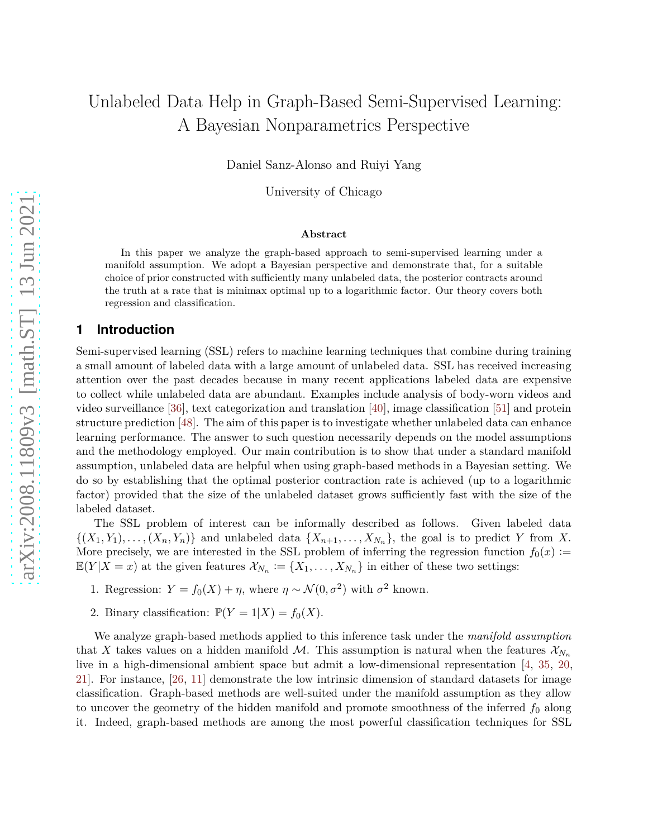# Unlabeled Data Help in Graph-Based Semi-Supervised Learning: A Bayesian Nonparametrics Perspective

Daniel Sanz-Alonso and Ruiyi Yang

University of Chicago

#### **Abstract**

In this paper we analyze the graph-based approach to semi-supervised learning under a manifold assumption. We adopt a Bayesian perspective and demonstrate that, for a suitable choice of prior constructed with sufficiently many unlabeled data, the posterior contracts around the truth at a rate that is minimax optimal up to a logarithmic factor. Our theory covers both regression and classification.

# **1 Introduction**

Semi-supervised learning (SSL) refers to machine learning techniques that combine during training a small amount of labeled data with a large amount of unlabeled data. SSL has received increasing attention over the past decades because in many recent applications labeled data are expensive to collect while unlabeled data are abundant. Examples include analysis of body-worn videos and video surveillance [\[36](#page-25-0)], text categorization and translation [\[40](#page-25-1)], image classification [\[51](#page-26-0)] and protein structure prediction [\[48](#page-26-1)]. The aim of this paper is to investigate whether unlabeled data can enhance learning performance. The answer to such question necessarily depends on the model assumptions and the methodology employed. Our main contribution is to show that under a standard manifold assumption, unlabeled data are helpful when using graph-based methods in a Bayesian setting. We do so by establishing that the optimal posterior contraction rate is achieved (up to a logarithmic factor) provided that the size of the unlabeled dataset grows sufficiently fast with the size of the labeled dataset.

The SSL problem of interest can be informally described as follows. Given labeled data  $\{(X_1, Y_1), \ldots, (X_n, Y_n)\}\$ and unlabeled data  $\{X_{n+1}, \ldots, X_{N_n}\}\$ , the goal is to predict *Y* from *X*. More precisely, we are interested in the SSL problem of inferring the regression function  $f_0(x) :=$  $\mathbb{E}(Y|X=x)$  at the given features  $\mathcal{X}_{N_n} := \{X_1, \ldots, X_{N_n}\}$  in either of these two settings:

- 1. Regression:  $Y = f_0(X) + \eta$ , where  $\eta \sim \mathcal{N}(0, \sigma^2)$  with  $\sigma^2$  known.
- 2. Binary classification:  $\mathbb{P}(Y=1|X) = f_0(X)$ .

We analyze graph-based methods applied to this inference task under the *manifold assumption* that X takes values on a hidden manifold M. This assumption is natural when the features  $\mathcal{X}_{N_n}$ live in a high-dimensional ambient space but admit a low-dimensional representation [\[4](#page-22-0), [35,](#page-25-2) [20](#page-23-0), [21\]](#page-24-0). For instance, [\[26,](#page-24-1) [11](#page-23-1)] demonstrate the low intrinsic dimension of standard datasets for image classification. Graph-based methods are well-suited under the manifold assumption as they allow to uncover the geometry of the hidden manifold and promote smoothness of the inferred  $f_0$  along it. Indeed, graph-based methods are among the most powerful classification techniques for SSL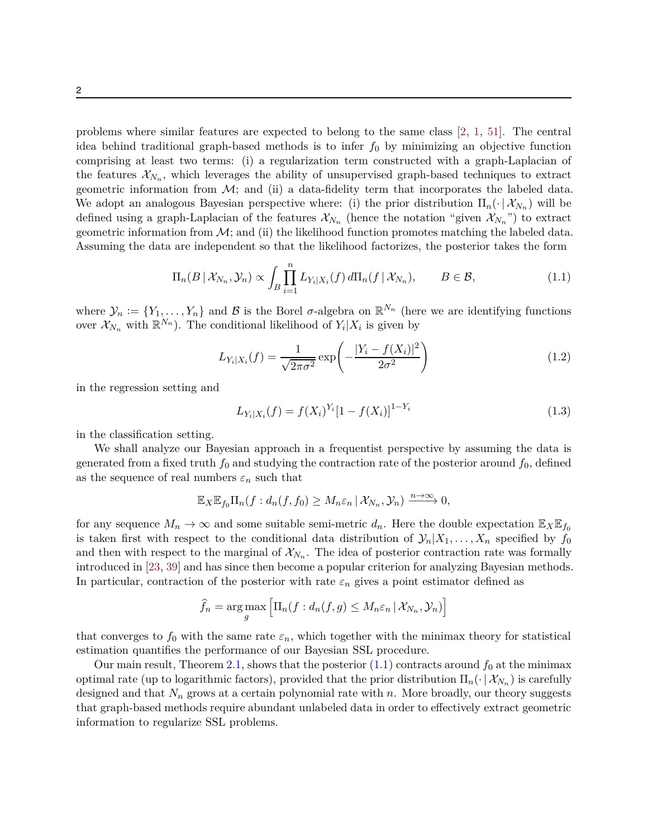problems where similar features are expected to belong to the same class [\[2](#page-22-1), [1](#page-22-2), [51](#page-26-0)]. The central idea behind traditional graph-based methods is to infer *f*<sup>0</sup> by minimizing an objective function comprising at least two terms: (i) a regularization term constructed with a graph-Laplacian of the features  $\mathcal{X}_{N_n}$ , which leverages the ability of unsupervised graph-based techniques to extract geometric information from  $\mathcal{M}$ ; and (ii) a data-fidelity term that incorporates the labeled data. We adopt an analogous Bayesian perspective where: (i) the prior distribution  $\Pi_n(\cdot | \mathcal{X}_{N_n})$  will be defined using a graph-Laplacian of the features  $\mathcal{X}_{N_n}$  (hence the notation "given  $\mathcal{X}_{N_n}$ ") to extract geometric information from  $\mathcal{M}$ ; and (ii) the likelihood function promotes matching the labeled data. Assuming the data are independent so that the likelihood factorizes, the posterior takes the form

$$
\Pi_n(B \mid \mathcal{X}_{N_n}, \mathcal{Y}_n) \propto \int_B \prod_{i=1}^n L_{Y_i \mid X_i}(f) d\Pi_n(f \mid \mathcal{X}_{N_n}), \qquad B \in \mathcal{B}, \tag{1.1}
$$

where  $\mathcal{Y}_n := \{Y_1, \ldots, Y_n\}$  and  $\mathcal B$  is the Borel  $\sigma$ -algebra on  $\mathbb R^{N_n}$  (here we are identifying functions over  $\mathcal{X}_{N_n}$  with  $\mathbb{R}^{N_n}$ ). The conditional likelihood of  $Y_i|X_i$  is given by

<span id="page-1-0"></span>
$$
L_{Y_i|X_i}(f) = \frac{1}{\sqrt{2\pi\sigma^2}} \exp\left(-\frac{|Y_i - f(X_i)|^2}{2\sigma^2}\right)
$$
(1.2)

in the regression setting and

<span id="page-1-2"></span><span id="page-1-1"></span>
$$
L_{Y_i|X_i}(f) = f(X_i)^{Y_i} [1 - f(X_i)]^{1 - Y_i}
$$
\n(1.3)

in the classification setting.

We shall analyze our Bayesian approach in a frequentist perspective by assuming the data is generated from a fixed truth  $f_0$  and studying the contraction rate of the posterior around  $f_0$ , defined as the sequence of real numbers  $\varepsilon_n$  such that

$$
\mathbb{E}_X \mathbb{E}_{f_0} \Pi_n(f : d_n(f, f_0) \geq M_n \varepsilon_n \, | \, \mathcal{X}_{N_n}, \mathcal{Y}_n) \xrightarrow{n \to \infty} 0,
$$

for any sequence  $M_n \to \infty$  and some suitable semi-metric  $d_n$ . Here the double expectation  $\mathbb{E}_X \mathbb{E}_{f_0}$ is taken first with respect to the conditional data distribution of  $\mathcal{Y}_n|X_1,\ldots,X_n$  specified by  $f_0$ and then with respect to the marginal of  $\mathcal{X}_{N_n}$ . The idea of posterior contraction rate was formally introduced in [\[23](#page-24-2), [39](#page-25-3)] and has since then become a popular criterion for analyzing Bayesian methods. In particular, contraction of the posterior with rate  $\varepsilon_n$  gives a point estimator defined as

$$
\widehat{f}_n = \arg \max_{g} \left[ \Pi_n(f : d_n(f, g) \leq M_n \varepsilon_n \, | \, \mathcal{X}_{N_n}, \mathcal{Y}_n) \right]
$$

that converges to  $f_0$  with the same rate  $\varepsilon_n$ , which together with the minimax theory for statistical estimation quantifies the performance of our Bayesian SSL procedure.

Our main result, Theorem [2.1,](#page-6-0) shows that the posterior  $(1.1)$  contracts around  $f_0$  at the minimax optimal rate (up to logarithmic factors), provided that the prior distribution  $\Pi_n(\cdot | \mathcal{X}_{N_n})$  is carefully designed and that  $N_n$  grows at a certain polynomial rate with *n*. More broadly, our theory suggests that graph-based methods require abundant unlabeled data in order to effectively extract geometric information to regularize SSL problems.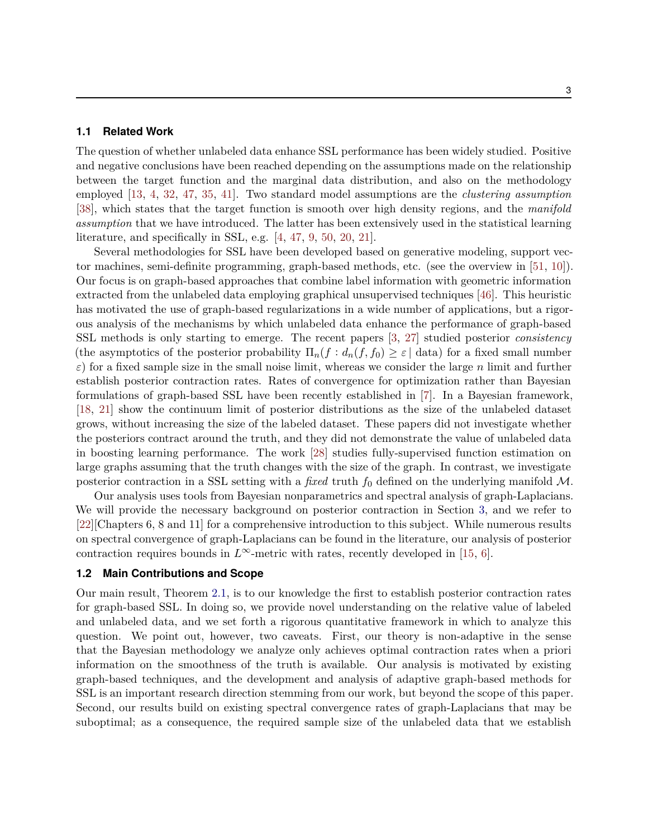#### **1.1 Related Work**

The question of whether unlabeled data enhance SSL performance has been widely studied. Positive and negative conclusions have been reached depending on the assumptions made on the relationship between the target function and the marginal data distribution, and also on the methodology employed [\[13,](#page-23-2) [4](#page-22-0), [32](#page-24-3), [47](#page-25-4), [35,](#page-25-2) [41\]](#page-25-5). Two standard model assumptions are the *clustering assumption* [\[38\]](#page-25-6), which states that the target function is smooth over high density regions, and the *manifold assumption* that we have introduced. The latter has been extensively used in the statistical learning literature, and specifically in SSL, e.g. [\[4](#page-22-0), [47](#page-25-4), [9](#page-23-3), [50,](#page-26-2) [20](#page-23-0), [21\]](#page-24-0).

Several methodologies for SSL have been developed based on generative modeling, support vector machines, semi-definite programming, graph-based methods, etc. (see the overview in [\[51](#page-26-0), [10\]](#page-23-4)). Our focus is on graph-based approaches that combine label information with geometric information extracted from the unlabeled data employing graphical unsupervised techniques [\[46](#page-25-7)]. This heuristic has motivated the use of graph-based regularizations in a wide number of applications, but a rigorous analysis of the mechanisms by which unlabeled data enhance the performance of graph-based SSL methods is only starting to emerge. The recent papers [\[3](#page-22-3), [27](#page-24-4)] studied posterior *consistency* (the asymptotics of the posterior probability  $\Pi_n(f : d_n(f, f_0) \geq \varepsilon \mid \text{data})$  for a fixed small number  $\varepsilon$ ) for a fixed sample size in the small noise limit, whereas we consider the large *n* limit and further establish posterior contraction rates. Rates of convergence for optimization rather than Bayesian formulations of graph-based SSL have been recently established in [\[7\]](#page-23-5). In a Bayesian framework, [\[18,](#page-23-6) [21](#page-24-0)] show the continuum limit of posterior distributions as the size of the unlabeled dataset grows, without increasing the size of the labeled dataset. These papers did not investigate whether the posteriors contract around the truth, and they did not demonstrate the value of unlabeled data in boosting learning performance. The work [\[28\]](#page-24-5) studies fully-supervised function estimation on large graphs assuming that the truth changes with the size of the graph. In contrast, we investigate posterior contraction in a SSL setting with a *fixed* truth  $f_0$  defined on the underlying manifold  $M$ .

Our analysis uses tools from Bayesian nonparametrics and spectral analysis of graph-Laplacians. We will provide the necessary background on posterior contraction in Section [3,](#page-7-0) and we refer to [\[22\]](#page-24-6)[Chapters 6, 8 and 11] for a comprehensive introduction to this subject. While numerous results on spectral convergence of graph-Laplacians can be found in the literature, our analysis of posterior contraction requires bounds in  $L^{\infty}$ -metric with rates, recently developed in [\[15](#page-23-7), [6](#page-22-4)].

#### <span id="page-2-0"></span>**1.2 Main Contributions and Scope**

Our main result, Theorem [2.1,](#page-6-0) is to our knowledge the first to establish posterior contraction rates for graph-based SSL. In doing so, we provide novel understanding on the relative value of labeled and unlabeled data, and we set forth a rigorous quantitative framework in which to analyze this question. We point out, however, two caveats. First, our theory is non-adaptive in the sense that the Bayesian methodology we analyze only achieves optimal contraction rates when a priori information on the smoothness of the truth is available. Our analysis is motivated by existing graph-based techniques, and the development and analysis of adaptive graph-based methods for SSL is an important research direction stemming from our work, but beyond the scope of this paper. Second, our results build on existing spectral convergence rates of graph-Laplacians that may be suboptimal; as a consequence, the required sample size of the unlabeled data that we establish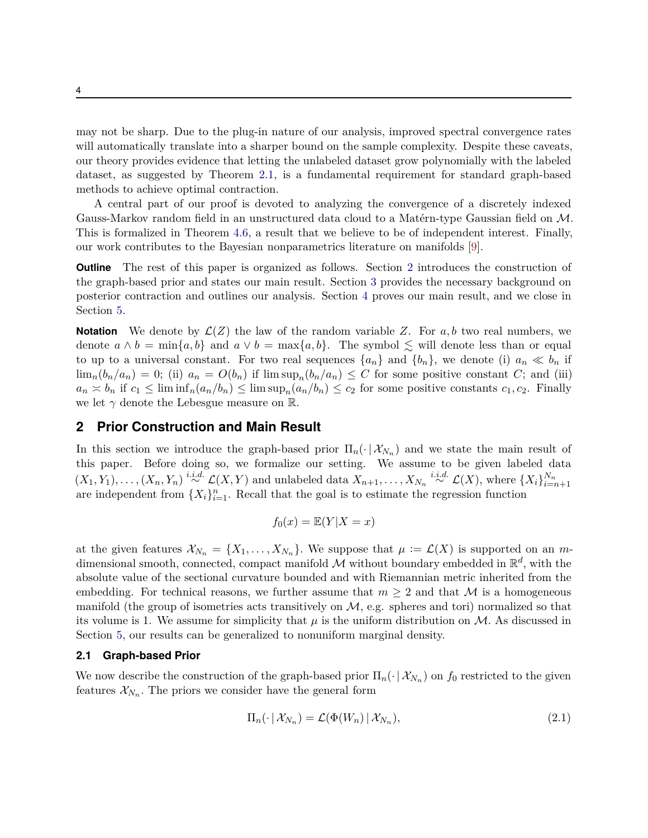may not be sharp. Due to the plug-in nature of our analysis, improved spectral convergence rates will automatically translate into a sharper bound on the sample complexity. Despite these caveats, our theory provides evidence that letting the unlabeled dataset grow polynomially with the labeled dataset, as suggested by Theorem [2.1,](#page-6-0) is a fundamental requirement for standard graph-based methods to achieve optimal contraction.

A central part of our proof is devoted to analyzing the convergence of a discretely indexed Gauss-Markov random field in an unstructured data cloud to a Matérn-type Gaussian field on M. This is formalized in Theorem [4.6,](#page-15-0) a result that we believe to be of independent interest. Finally, our work contributes to the Bayesian nonparametrics literature on manifolds [\[9\]](#page-23-3).

**Outline** The rest of this paper is organized as follows. Section [2](#page-3-0) introduces the construction of the graph-based prior and states our main result. Section [3](#page-7-0) provides the necessary background on posterior contraction and outlines our analysis. Section [4](#page-9-0) proves our main result, and we close in Section [5.](#page-22-5)

**Notation** We denote by  $\mathcal{L}(Z)$  the law of the random variable Z. For  $a, b$  two real numbers, we denote  $a \wedge b = \min\{a, b\}$  and  $a \vee b = \max\{a, b\}$ . The symbol  $\leq$  will denote less than or equal to up to a universal constant. For two real sequences  $\{a_n\}$  and  $\{b_n\}$ , we denote (i)  $a_n \ll b_n$  if  $\lim_{n} (b_n/a_n) = 0$ ; (ii)  $a_n = O(b_n)$  if  $\limsup_{n} (b_n/a_n) \leq C$  for some positive constant *C*; and (iii)  $a_n \approx b_n$  if  $c_1 \leq \liminf_n (a_n/b_n) \leq \limsup_n (a_n/b_n) \leq c_2$  for some positive constants  $c_1, c_2$ . Finally we let  $\gamma$  denote the Lebesgue measure on R.

# <span id="page-3-0"></span>**2 Prior Construction and Main Result**

In this section we introduce the graph-based prior  $\Pi_n(\cdot | \mathcal{X}_{N_n})$  and we state the main result of this paper. Before doing so, we formalize our setting. We assume to be given labeled data  $(X_1,Y_1),\ldots,(X_n,Y_n) \stackrel{i.i.d.}{\sim} \mathcal{L}(X,Y)$  and unlabeled data  $X_{n+1},\ldots,X_{N_n} \stackrel{i.i.d.}{\sim} \mathcal{L}(X)$ , where  $\{X_i\}_{i=n+1}^{N_n}$ are independent from  $\{X_i\}_{i=1}^n$ . Recall that the goal is to estimate the regression function

$$
f_0(x) = \mathbb{E}(Y|X = x)
$$

at the given features  $\mathcal{X}_{N_n} = \{X_1, \ldots, X_{N_n}\}.$  We suppose that  $\mu := \mathcal{L}(X)$  is supported on an *m*dimensional smooth, connected, compact manifold  $M$  without boundary embedded in  $\mathbb{R}^d$ , with the absolute value of the sectional curvature bounded and with Riemannian metric inherited from the embedding. For technical reasons, we further assume that  $m \geq 2$  and that M is a homogeneous manifold (the group of isometries acts transitively on  $M$ , e.g. spheres and tori) normalized so that its volume is 1. We assume for simplicity that  $\mu$  is the uniform distribution on  $\mathcal{M}$ . As discussed in Section [5,](#page-22-5) our results can be generalized to nonuniform marginal density.

#### <span id="page-3-2"></span>**2.1 Graph-based Prior**

We now describe the construction of the graph-based prior  $\Pi_n(\cdot | \mathcal{X}_{N_n})$  on  $f_0$  restricted to the given features  $\mathcal{X}_{N_n}$ . The priors we consider have the general form

<span id="page-3-1"></span>
$$
\Pi_n(\cdot \,|\, \mathcal{X}_{N_n}) = \mathcal{L}(\Phi(W_n) \,|\, \mathcal{X}_{N_n}),\tag{2.1}
$$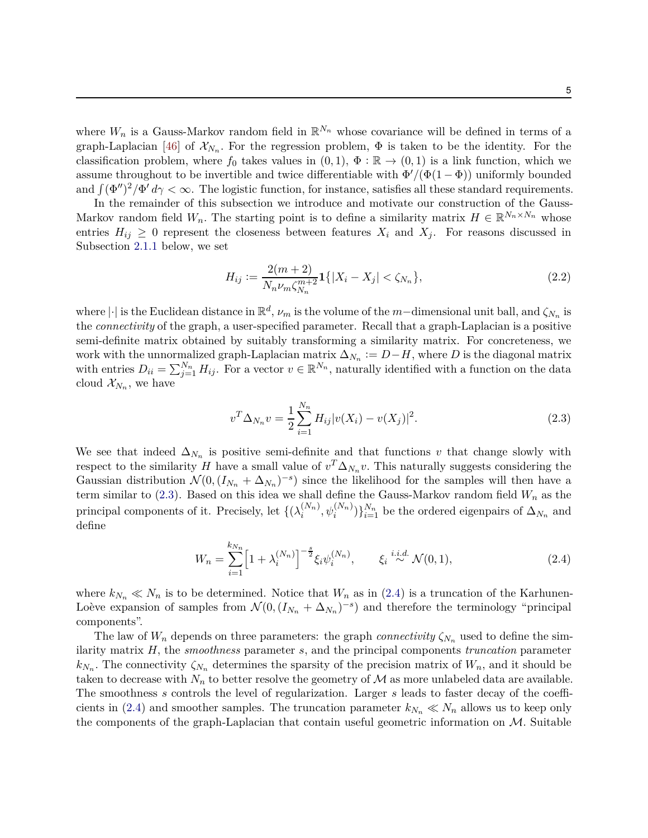where  $W_n$  is a Gauss-Markov random field in  $\mathbb{R}^{N_n}$  whose covariance will be defined in terms of a graph-Laplacian [\[46](#page-25-7)] of  $\mathcal{X}_{N_n}$ . For the regression problem,  $\Phi$  is taken to be the identity. For the classification problem, where  $f_0$  takes values in  $(0,1)$ ,  $\Phi : \mathbb{R} \to (0,1)$  is a link function, which we assume throughout to be invertible and twice differentiable with  $\Phi'/(\Phi(1-\Phi))$  uniformly bounded and  $\int (\Phi'')^2/\Phi' d\gamma < \infty$ . The logistic function, for instance, satisfies all these standard requirements.

In the remainder of this subsection we introduce and motivate our construction of the Gauss-Markov random field  $W_n$ . The starting point is to define a similarity matrix  $H \in \mathbb{R}^{N_n \times N_n}$  whose entries  $H_{ij} \geq 0$  represent the closeness between features  $X_i$  and  $X_j$ . For reasons discussed in Subsection [2.1.1](#page-5-0) below, we set

<span id="page-4-2"></span>
$$
H_{ij} := \frac{2(m+2)}{N_n \nu_m \zeta_{N_n}^{m+2}} \mathbf{1}\{|X_i - X_j| < \zeta_{N_n}\},\tag{2.2}
$$

where  $|\cdot|$  is the Euclidean distance in  $\mathbb{R}^d$ ,  $\nu_m$  is the volume of the *m*−dimensional unit ball, and  $\zeta_{N_n}$  is the *connectivity* of the graph, a user-specified parameter. Recall that a graph-Laplacian is a positive semi-definite matrix obtained by suitably transforming a similarity matrix. For concreteness, we work with the unnormalized graph-Laplacian matrix  $\Delta_{N_n} := D - H$ , where *D* is the diagonal matrix with entries  $D_{ii} = \sum_{j=1}^{N_n} H_{ij}$ . For a vector  $v \in \mathbb{R}^{N_n}$ , naturally identified with a function on the data cloud  $\mathcal{X}_{N_n}$ , we have

<span id="page-4-1"></span><span id="page-4-0"></span>
$$
v^T \Delta_{N_n} v = \frac{1}{2} \sum_{i=1}^{N_n} H_{ij} |v(X_i) - v(X_j)|^2.
$$
 (2.3)

We see that indeed  $\Delta_{N_n}$  is positive semi-definite and that functions *v* that change slowly with respect to the similarity *H* have a small value of  $v^T \Delta_{N_n} v$ . This naturally suggests considering the Gaussian distribution  $\mathcal{N}(0, (I_{N_n} + \Delta_{N_n})^{-s})$  since the likelihood for the samples will then have a term similar to [\(2.3\)](#page-4-0). Based on this idea we shall define the Gauss-Markov random field *W<sup>n</sup>* as the principal components of it. Precisely, let  $\{(\lambda_i^{(N_n)})\}$  $\{\psi_i^{(N_n)}, \psi_i^{(N_n)}\}$ <sup>*N<sub>n</sub>*</sup></sub> be the ordered eigenpairs of  $\Delta_{N_n}$  and define

$$
W_n = \sum_{i=1}^{k_{N_n}} \left[ 1 + \lambda_i^{(N_n)} \right]^{-\frac{s}{2}} \xi_i \psi_i^{(N_n)}, \qquad \xi_i \stackrel{i.i.d.}{\sim} \mathcal{N}(0, 1), \tag{2.4}
$$

where  $k_{N_n} \ll N_n$  is to be determined. Notice that  $W_n$  as in [\(2.4\)](#page-4-1) is a truncation of the Karhunen-Loève expansion of samples from  $\mathcal{N}(0, (I_{N_n} + \Delta_{N_n})^{-s})$  and therefore the terminology "principal" components".

The law of  $W_n$  depends on three parameters: the graph *connectivity*  $\zeta_{N_n}$  used to define the similarity matrix *H,* the *smoothness* parameter *s,* and the principal components *truncation* parameter  $k_{N_n}$ . The connectivity  $\zeta_{N_n}$  determines the sparsity of the precision matrix of  $W_n$ , and it should be taken to decrease with  $N_n$  to better resolve the geometry of M as more unlabeled data are available. The smoothness *s* controls the level of regularization. Larger *s* leads to faster decay of the coeffi-cients in [\(2.4\)](#page-4-1) and smoother samples. The truncation parameter  $k_{N_n} \ll N_n$  allows us to keep only the components of the graph-Laplacian that contain useful geometric information on M*.* Suitable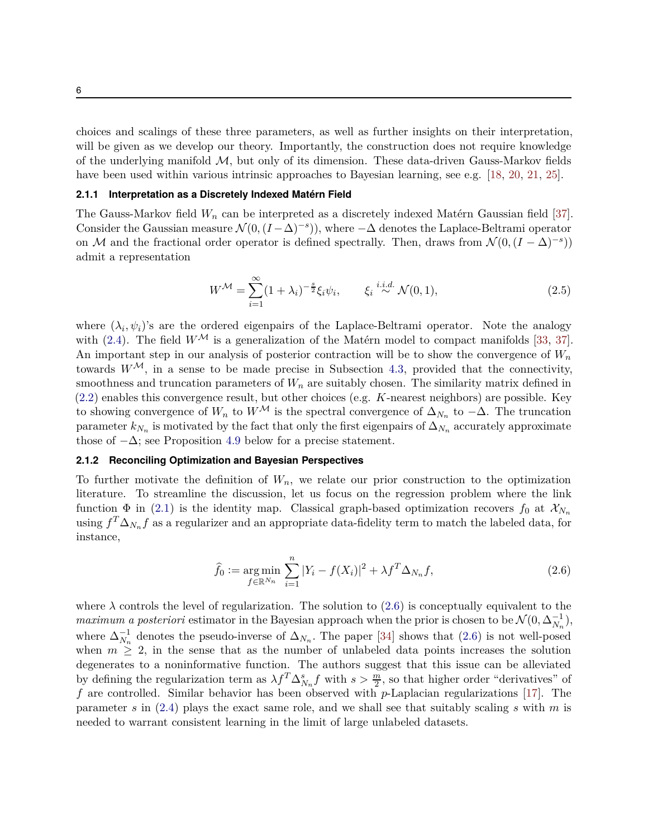choices and scalings of these three parameters, as well as further insights on their interpretation, will be given as we develop our theory. Importantly, the construction does not require knowledge of the underlying manifold  $M$ , but only of its dimension. These data-driven Gauss-Markov fields have been used within various intrinsic approaches to Bayesian learning, see e.g. [\[18](#page-23-6), [20,](#page-23-0) [21](#page-24-0), [25\]](#page-24-7).

#### <span id="page-5-0"></span>**2.1.1 Interpretation as a Discretely Indexed Matérn Field**

The Gauss-Markov field *W<sup>n</sup>* can be interpreted as a discretely indexed Matérn Gaussian field [\[37](#page-25-8)]. Consider the Gaussian measure  $\mathcal{N}(0, (I-\Delta)^{-s})$ , where  $-\Delta$  denotes the Laplace-Beltrami operator on M and the fractional order operator is defined spectrally. Then, draws from  $\mathcal{N}(0, (I - \Delta)^{-s})$ admit a representation

<span id="page-5-2"></span>
$$
W^{\mathcal{M}} = \sum_{i=1}^{\infty} (1 + \lambda_i)^{-\frac{s}{2}} \xi_i \psi_i, \qquad \xi_i \stackrel{i.i.d.}{\sim} \mathcal{N}(0, 1), \tag{2.5}
$$

where  $(\lambda_i, \psi_i)$ 's are the ordered eigenpairs of the Laplace-Beltrami operator. Note the analogy with [\(2.4\)](#page-4-1). The field  $W^{\mathcal{M}}$  is a generalization of the Matérn model to compact manifolds [\[33](#page-24-8), [37](#page-25-8)]. An important step in our analysis of posterior contraction will be to show the convergence of *W<sup>n</sup>* towards  $W^{\mathcal{M}}$ , in a sense to be made precise in Subsection [4.3,](#page-14-0) provided that the connectivity, smoothness and truncation parameters of  $W_n$  are suitably chosen. The similarity matrix defined in [\(2.2\)](#page-4-2) enables this convergence result, but other choices (e.g. *K*-nearest neighbors) are possible. Key to showing convergence of  $W_n$  to  $W^{\mathcal{M}}$  is the spectral convergence of  $\Delta_{N_n}$  to  $-\Delta$ . The truncation parameter  $k_{N_n}$  is motivated by the fact that only the first eigenpairs of  $\Delta_{N_n}$  accurately approximate those of  $-\Delta$ ; see Proposition [4.9](#page-16-0) below for a precise statement.

#### **2.1.2 Reconciling Optimization and Bayesian Perspectives**

To further motivate the definition of  $W_n$ , we relate our prior construction to the optimization literature. To streamline the discussion, let us focus on the regression problem where the link function  $\Phi$  in [\(2.1\)](#page-3-1) is the identity map. Classical graph-based optimization recovers  $f_0$  at  $\mathcal{X}_{N_n}$ using  $f^T \Delta_{N_n} f$  as a regularizer and an appropriate data-fidelity term to match the labeled data, for instance,

<span id="page-5-1"></span>
$$
\hat{f}_0 := \underset{f \in \mathbb{R}^{N_n}}{\arg \min} \sum_{i=1}^n |Y_i - f(X_i)|^2 + \lambda f^T \Delta_{N_n} f, \tag{2.6}
$$

where  $\lambda$  controls the level of regularization. The solution to [\(2.6\)](#page-5-1) is conceptually equivalent to the *maximum a posteriori* estimator in the Bayesian approach when the prior is chosen to be  $\mathcal{N}(0, \Delta_{N_n}^{-1})$ , where  $\Delta_{N_n}^{-1}$  denotes the pseudo-inverse of  $\Delta_{N_n}$ . The paper [\[34](#page-25-9)] shows that [\(2.6\)](#page-5-1) is not well-posed when  $m \geq 2$ , in the sense that as the number of unlabeled data points increases the solution degenerates to a noninformative function. The authors suggest that this issue can be alleviated by defining the regularization term as  $\lambda f^T \Delta_{N_n}^s f$  with  $s > \frac{m}{2}$ , so that higher order "derivatives" of *f* are controlled. Similar behavior has been observed with *p*-Laplacian regularizations [\[17](#page-23-8)]. The parameter *s* in [\(2.4\)](#page-4-1) plays the exact same role, and we shall see that suitably scaling *s* with *m* is needed to warrant consistent learning in the limit of large unlabeled datasets.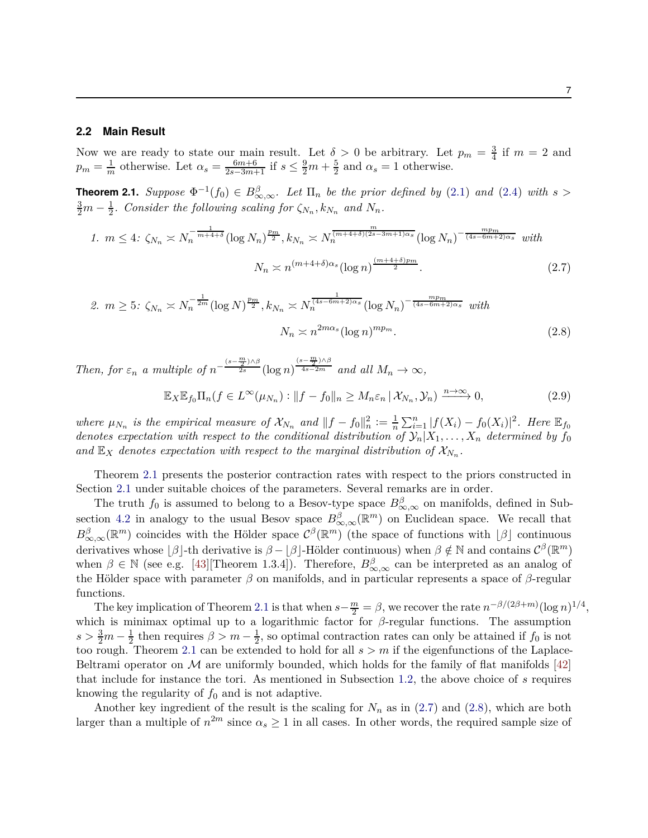#### **2.2 Main Result**

Now we are ready to state our main result. Let  $\delta > 0$  be arbitrary. Let  $p_m = \frac{3}{4}$  $rac{3}{4}$  if  $m = 2$  and  $p_m = \frac{1}{m}$  otherwise. Let  $\alpha_s = \frac{6m+6}{2s-3m+1}$  if  $s \leq \frac{9}{2}m + \frac{5}{2}$  $\frac{5}{2}$  and  $\alpha_s = 1$  otherwise.

<span id="page-6-0"></span>**Theorem 2.1.** *Suppose*  $\Phi^{-1}(f_0) \in B_{\infty,\infty}^{\beta}$ . Let  $\Pi_n$  be the prior defined by [\(2.1\)](#page-3-1) and [\(2.4\)](#page-4-1) with  $s >$  $\frac{3}{2}m - \frac{1}{2}$ *. Consider the following scaling for*  $\zeta_{N_n}, k_{N_n}$  and  $N_n$ *.* 

1. 
$$
m \le 4
$$
:  $\zeta_{N_n} \asymp N_n^{-\frac{1}{m+4+\delta}} (\log N_n)^{\frac{pm}{2}}, k_{N_n} \asymp N_n^{\frac{m}{(m+4+\delta)(2s-3m+1)\alpha_s}} (\log N_n)^{-\frac{mpm}{(4s-6m+2)\alpha_s}}$  with  

$$
N_n \asymp n^{(m+4+\delta)\alpha_s} (\log n)^{\frac{(m+4+\delta)p_m}{2}}.
$$
 (2.7)

$$
2. \ m \ge 5: \ \zeta_{N_n} \asymp N_n^{-\frac{1}{2m}} (\log N)^{\frac{p_m}{2}}, k_{N_n} \asymp N_n^{\frac{1}{(4s-6m+2)\alpha_s}} (\log N_n)^{-\frac{mp_m}{(4s-6m+2)\alpha_s}} \ with
$$

$$
N_n \asymp n^{2m\alpha_s} (\log n)^{mp_m}.
$$
 (2.8)

*Then, for*  $\varepsilon_n$  *a multiple of*  $n^-$ (*s*−*m* 2 )∧*β* <sup>2</sup>*<sup>s</sup>* (log *n*)  $(s-\frac{m}{2})\wedge\beta$  $\frac{4s-2m}{s}$  *and all*  $M_n \to \infty$ ,

<span id="page-6-3"></span><span id="page-6-2"></span><span id="page-6-1"></span>
$$
\mathbb{E}_X \mathbb{E}_{f_0} \Pi_n(f \in L^\infty(\mu_{N_n}) : \|f - f_0\|_n \ge M_n \varepsilon_n \,|\, \mathcal{X}_{N_n}, \mathcal{Y}_n) \xrightarrow{n \to \infty} 0,\tag{2.9}
$$

*where*  $\mu_{N_n}$  *is the empirical measure of*  $\mathcal{X}_{N_n}$  *and*  $||f - f_0||_n^2 := \frac{1}{n}$  $\frac{1}{n} \sum_{i=1}^{n} |f(X_i) - f_0(X_i)|^2$ . Here  $\mathbb{E}_{f_0}$ *denotes expectation with respect to the conditional distribution of*  $\mathcal{Y}_n | X_1, \ldots, X_n$  *determined by*  $f_0$ and  $\mathbb{E}_X$  denotes expectation with respect to the marginal distribution of  $\mathcal{X}_{N_n}$ .

Theorem [2.1](#page-6-0) presents the posterior contraction rates with respect to the priors constructed in Section [2.1](#page-3-2) under suitable choices of the parameters. Several remarks are in order.

The truth  $f_0$  is assumed to belong to a Besov-type space  $B_{\infty,\infty}^{\beta}$  on manifolds, defined in Sub-section [4.2](#page-11-0) in analogy to the usual Besov space  $B^{\beta}_{\infty,\infty}(\mathbb{R}^m)$  on Euclidean space. We recall that  $B^{\beta}_{\infty,\infty}(\mathbb{R}^m)$  coincides with the Hölder space  $\mathcal{C}^{\beta}(\mathbb{R}^m)$  (the space of functions with  $\lfloor \beta \rfloor$  continuous derivatives whose  $\lfloor \beta \rfloor$ -th derivative is  $\beta - \lfloor \beta \rfloor$ -Hölder continuous) when  $\beta \notin \mathbb{N}$  and contains  $\mathcal{C}^{\beta}(\mathbb{R}^m)$ when  $\beta \in \mathbb{N}$  (see e.g. [\[43](#page-25-10)][Theorem 1.3.4]). Therefore,  $B_{\infty,\infty}^{\beta}$  can be interpreted as an analog of the Hölder space with parameter *β* on manifolds, and in particular represents a space of *β*-regular functions.

The key implication of Theorem [2.1](#page-6-0) is that when  $s - \frac{m}{2} = \beta$ , we recover the rate  $n^{-\beta/(2\beta+m)}(\log n)^{1/4}$ , which is minimax optimal up to a logarithmic factor for *β*-regular functions. The assumption  $s > \frac{3}{2}m - \frac{1}{2}$  $\frac{1}{2}$  then requires  $\beta > m - \frac{1}{2}$  $\frac{1}{2}$ , so optimal contraction rates can only be attained if  $f_0$  is not too rough. Theorem [2.1](#page-6-0) can be extended to hold for all  $s > m$  if the eigenfunctions of the Laplace-Beltrami operator on  $\mathcal M$  are uniformly bounded, which holds for the family of flat manifolds [\[42](#page-25-11)] that include for instance the tori. As mentioned in Subsection [1.2,](#page-2-0) the above choice of *s* requires knowing the regularity of  $f_0$  and is not adaptive.

Another key ingredient of the result is the scaling for  $N_n$  as in  $(2.7)$  and  $(2.8)$ , which are both larger than a multiple of  $n^{2m}$  since  $\alpha_s \ge 1$  in all cases. In other words, the required sample size of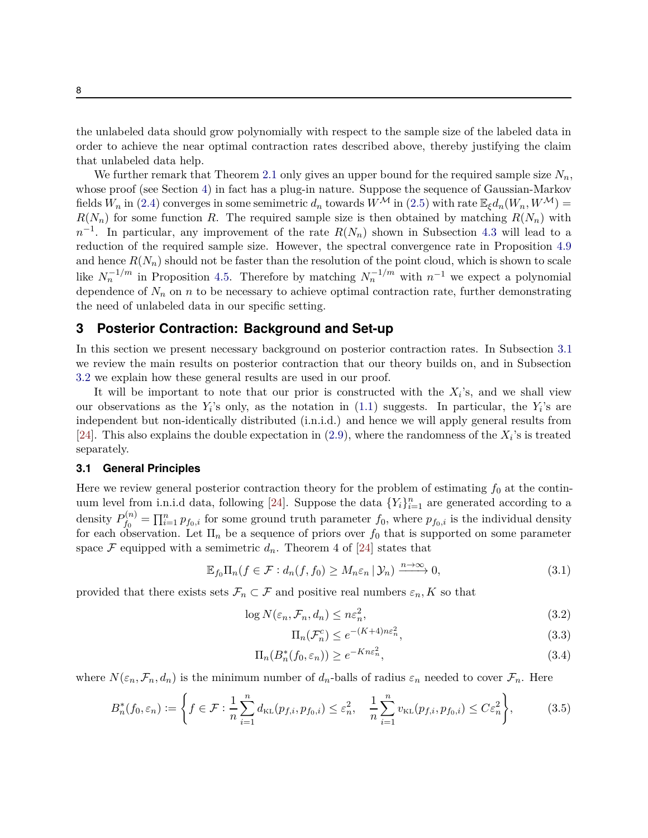the unlabeled data should grow polynomially with respect to the sample size of the labeled data in order to achieve the near optimal contraction rates described above, thereby justifying the claim that unlabeled data help.

We further remark that Theorem [2.1](#page-6-0) only gives an upper bound for the required sample size  $N_n$ , whose proof (see Section [4\)](#page-9-0) in fact has a plug-in nature. Suppose the sequence of Gaussian-Markov fields  $W_n$  in [\(2.4\)](#page-4-1) converges in some semimetric  $d_n$  towards  $W^{\mathcal{M}}$  in [\(2.5\)](#page-5-2) with rate  $\mathbb{E}_{\xi}d_n(W_n, W^{\mathcal{M}})$  =  $R(N_n)$  for some function *R*. The required sample size is then obtained by matching  $R(N_n)$  with  $n^{-1}$ . In particular, any improvement of the rate  $R(N_n)$  shown in Subsection [4.3](#page-14-0) will lead to a reduction of the required sample size. However, the spectral convergence rate in Proposition [4.9](#page-16-0) and hence  $R(N_n)$  should not be faster than the resolution of the point cloud, which is shown to scale like  $N_n^{-1/m}$  in Proposition [4.5.](#page-14-1) Therefore by matching  $N_n^{-1/m}$  with  $n^{-1}$  we expect a polynomial dependence of  $N_n$  on *n* to be necessary to achieve optimal contraction rate, further demonstrating the need of unlabeled data in our specific setting.

## <span id="page-7-0"></span>**3 Posterior Contraction: Background and Set-up**

In this section we present necessary background on posterior contraction rates. In Subsection [3.1](#page-7-1) we review the main results on posterior contraction that our theory builds on, and in Subsection [3.2](#page-8-0) we explain how these general results are used in our proof.

It will be important to note that our prior is constructed with the  $X_i$ 's, and we shall view our observations as the  $Y_i$ 's only, as the notation in  $(1.1)$  suggests. In particular, the  $Y_i$ 's are independent but non-identically distributed (i.n.i.d.) and hence we will apply general results from [\[24\]](#page-24-9). This also explains the double expectation in  $(2.9)$ , where the randomness of the  $X_i$ 's is treated separately.

#### <span id="page-7-1"></span>**3.1 General Principles**

Here we review general posterior contraction theory for the problem of estimating *f*<sup>0</sup> at the contin-uum level from i.n.i.d data, following [\[24](#page-24-9)]. Suppose the data  ${Y_i}_{i=1}^n$  are generated according to a density  $P_{f_0}^{(n)}$  $f_0^{(n)} = \prod_{i=1}^n p_{f_0,i}$  for some ground truth parameter  $f_0$ , where  $p_{f_0,i}$  is the individual density for each observation. Let  $\Pi_n$  be a sequence of priors over  $f_0$  that is supported on some parameter space  $\mathcal F$  equipped with a semimetric  $d_n$ . Theorem 4 of [\[24](#page-24-9)] states that

$$
\mathbb{E}_{f_0} \Pi_n(f \in \mathcal{F} : d_n(f, f_0) \ge M_n \varepsilon_n \, | \, \mathcal{Y}_n) \xrightarrow{n \to \infty} 0,
$$
\n
$$
(3.1)
$$

provided that there exists sets  $\mathcal{F}_n \subset \mathcal{F}$  and positive real numbers  $\varepsilon_n, K$  so that

$$
\log N(\varepsilon_n, \mathcal{F}_n, d_n) \le n\varepsilon_n^2,\tag{3.2}
$$

<span id="page-7-5"></span><span id="page-7-4"></span><span id="page-7-3"></span><span id="page-7-2"></span>
$$
\Pi_n(\mathcal{F}_n^c) \le e^{-(K+4)n\epsilon_n^2},\tag{3.3}
$$

$$
\Pi_n(B_n^*(f_0, \varepsilon_n)) \ge e^{-Kn\varepsilon_n^2},\tag{3.4}
$$

where  $N(\varepsilon_n, \mathcal{F}_n, d_n)$  is the minimum number of  $d_n$ -balls of radius  $\varepsilon_n$  needed to cover  $\mathcal{F}_n$ . Here

$$
B_n^*(f_0, \varepsilon_n) := \left\{ f \in \mathcal{F} : \frac{1}{n} \sum_{i=1}^n d_{\text{KL}}(p_{f,i}, p_{f_0,i}) \le \varepsilon_n^2, \quad \frac{1}{n} \sum_{i=1}^n v_{\text{KL}}(p_{f,i}, p_{f_0,i}) \le C \varepsilon_n^2 \right\},\tag{3.5}
$$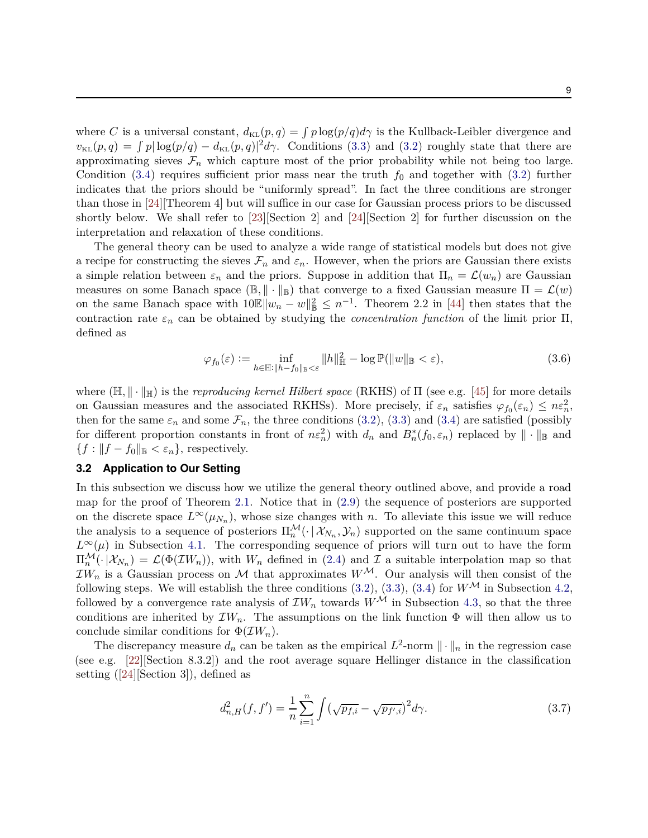where *C* is a universal constant,  $d_{KL}(p,q) = \int p \log(p/q) d\gamma$  is the Kullback-Leibler divergence and  $v_{\text{KL}}(p,q) = \int p|\log(p/q) - d_{\text{KL}}(p,q)|^2 d\gamma$ . Conditions [\(3.3\)](#page-7-2) and [\(3.2\)](#page-7-3) roughly state that there are approximating sieves  $\mathcal{F}_n$  which capture most of the prior probability while not being too large. Condition [\(3.4\)](#page-7-4) requires sufficient prior mass near the truth  $f_0$  and together with [\(3.2\)](#page-7-3) further indicates that the priors should be "uniformly spread". In fact the three conditions are stronger than those in [\[24\]](#page-24-9)[Theorem 4] but will suffice in our case for Gaussian process priors to be discussed shortly below. We shall refer to [\[23](#page-24-2)][Section 2] and [\[24\]](#page-24-9)[Section 2] for further discussion on the interpretation and relaxation of these conditions.

The general theory can be used to analyze a wide range of statistical models but does not give a recipe for constructing the sieves  $\mathcal{F}_n$  and  $\varepsilon_n$ . However, when the priors are Gaussian there exists a simple relation between  $\varepsilon_n$  and the priors. Suppose in addition that  $\Pi_n = \mathcal{L}(w_n)$  are Gaussian measures on some Banach space  $(\mathbb{B}, \|\cdot\|_{\mathbb{B}})$  that converge to a fixed Gaussian measure  $\Pi = \mathcal{L}(w)$ on the same Banach space with  $10\mathbb{E} \|w_n - w\|_{\mathbb{B}}^2 \leq n^{-1}$ . Theorem 2.2 in [\[44](#page-25-12)] then states that the contraction rate  $\varepsilon_n$  can be obtained by studying the *concentration function* of the limit prior  $\Pi$ , defined as

$$
\varphi_{f_0}(\varepsilon) := \inf_{h \in \mathbb{H} : \|h - f_0\|_{\mathbb{B}} < \varepsilon} \|h\|_{\mathbb{H}}^2 - \log \mathbb{P}(\|w\|_{\mathbb{B}} < \varepsilon),\tag{3.6}
$$

where  $(\mathbb{H}, \|\cdot\|_{\mathbb{H}})$  is the *reproducing kernel Hilbert space* (RKHS) of  $\Pi$  (see e.g. [\[45](#page-25-13)] for more details on Gaussian measures and the associated RKHSs). More precisely, if  $\varepsilon_n$  satisfies  $\varphi_{f_0}(\varepsilon_n) \leq n\varepsilon_n^2$ , then for the same  $\varepsilon_n$  and some  $\mathcal{F}_n$ , the three conditions [\(3.2\)](#page-7-3), [\(3.3\)](#page-7-2) and [\(3.4\)](#page-7-4) are satisfied (possibly for different proportion constants in front of  $n\varepsilon_n^2$ ) with  $d_n$  and  $B_n^*(f_0, \varepsilon_n)$  replaced by  $\|\cdot\|_{\mathbb{B}}$  and  ${f : ||f - f_0||_{\mathbb{B}} < \varepsilon_n}$ , respectively.

## <span id="page-8-0"></span>**3.2 Application to Our Setting**

In this subsection we discuss how we utilize the general theory outlined above, and provide a road map for the proof of Theorem [2.1.](#page-6-0) Notice that in [\(2.9\)](#page-6-3) the sequence of posteriors are supported on the discrete space  $L^{\infty}(\mu_{N_n})$ , whose size changes with *n*. To alleviate this issue we will reduce the analysis to a sequence of posteriors  $\Pi_n^{\mathcal{M}}(\cdot | \mathcal{X}_{N_n}, \mathcal{Y}_n)$  supported on the same continuum space  $L^{\infty}(\mu)$  in Subsection [4.1.](#page-9-1) The corresponding sequence of priors will turn out to have the form  $\Pi_n^{\mathcal{M}}(\cdot | \mathcal{X}_{N_n}) = \mathcal{L}(\Phi(\mathcal{I}W_n))$ , with  $W_n$  defined in [\(2.4\)](#page-4-1) and  $\mathcal{I}$  a suitable interpolation map so that  $IW_n$  is a Gaussian process on M that approximates  $W^{\mathcal{M}}$ . Our analysis will then consist of the following steps. We will establish the three conditions  $(3.2)$ ,  $(3.3)$ ,  $(3.4)$  for  $W^{\mathcal{M}}$  in Subsection 4.2. followed by a convergence rate analysis of  $\mathcal{I}W_n$  towards  $W^{\mathcal{M}}$  in Subsection [4.3,](#page-14-0) so that the three conditions are inherited by  $\mathcal{I}W_n$ . The assumptions on the link function  $\Phi$  will then allow us to conclude similar conditions for  $\Phi(\mathcal{I}W_n)$ .

The discrepancy measure  $d_n$  can be taken as the empirical  $L^2$ -norm  $\|\cdot\|_n$  in the regression case (see e.g. [\[22](#page-24-6)][Section 8.3.2]) and the root average square Hellinger distance in the classification setting ([\[24](#page-24-9)][Section 3]), defined as

<span id="page-8-1"></span>
$$
d_{n,H}^2(f,f') = \frac{1}{n} \sum_{i=1}^n \int (\sqrt{p_{f,i}} - \sqrt{p_{f',i}})^2 d\gamma.
$$
 (3.7)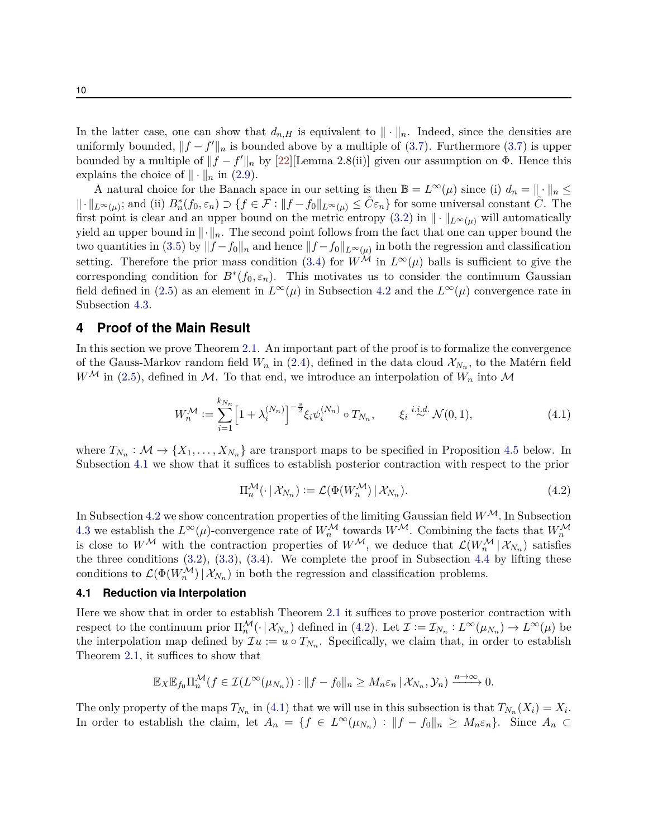In the latter case, one can show that  $d_{n,H}$  is equivalent to  $\|\cdot\|_n$ . Indeed, since the densities are uniformly bounded,  $||f - f'||_n$  is bounded above by a multiple of [\(3.7\)](#page-8-1). Furthermore (3.7) is upper bounded by a multiple of  $||f - f'||_n$  by [\[22\]](#page-24-6)[Lemma 2.8(ii)] given our assumption on  $\Phi$ . Hence this explains the choice of  $\|\cdot\|_n$  in [\(2.9\)](#page-6-3).

A natural choice for the Banach space in our setting is then  $\mathbb{B} = L^{\infty}(\mu)$  since (i)  $d_n = \|\cdot\|_n \leq$  $\|\cdot\|_{L^{\infty}(\mu)}$ ; and (ii)  $B_n^*(f_0, \varepsilon_n) \supset \{f \in \mathcal{F} : \|f - f_0\|_{L^{\infty}(\mu)} \leq \tilde{C}\varepsilon_n\}$  for some universal constant  $\tilde{C}$ . The first point is clear and an upper bound on the metric entropy [\(3.2\)](#page-7-3) in  $\|\cdot\|_{L^{\infty}(\mu)}$  will automatically yield an upper bound in  $\|\cdot\|_n$ . The second point follows from the fact that one can upper bound the two quantities in [\(3.5\)](#page-7-5) by  $||f - f_0||_n$  and hence  $||f - f_0||_{L^{\infty}(\mu)}$  in both the regression and classification setting. Therefore the prior mass condition [\(3.4\)](#page-7-4) for  $W^{\mathcal{M}}$  in  $L^{\infty}(\mu)$  balls is sufficient to give the corresponding condition for  $B^*(f_0, \varepsilon_n)$ . This motivates us to consider the continuum Gaussian field defined in [\(2.5\)](#page-5-2) as an element in  $L^{\infty}(\mu)$  in Subsection [4.2](#page-11-0) and the  $L^{\infty}(\mu)$  convergence rate in Subsection [4.3.](#page-14-0)

# <span id="page-9-0"></span>**4 Proof of the Main Result**

In this section we prove Theorem [2.1.](#page-6-0) An important part of the proof is to formalize the convergence of the Gauss-Markov random field  $W_n$  in [\(2.4\)](#page-4-1), defined in the data cloud  $\mathcal{X}_{N_n}$ , to the Matérn field  $W^{\mathcal{M}}$  in [\(2.5\)](#page-5-2), defined in  $\mathcal{M}$ . To that end, we introduce an interpolation of  $W_n$  into  $\mathcal{M}$ 

$$
W_n^{\mathcal{M}} := \sum_{i=1}^{k_{N_n}} \left[ 1 + \lambda_i^{(N_n)} \right]^{-\frac{s}{2}} \xi_i \psi_i^{(N_n)} \circ T_{N_n}, \qquad \xi_i \stackrel{i.i.d.}{\sim} \mathcal{N}(0, 1), \tag{4.1}
$$

where  $T_{N_n} : \mathcal{M} \to \{X_1, \ldots, X_{N_n}\}$  are transport maps to be specified in Proposition [4.5](#page-14-1) below. In Subsection [4.1](#page-9-1) we show that it suffices to establish posterior contraction with respect to the prior

<span id="page-9-3"></span><span id="page-9-2"></span>
$$
\Pi_n^{\mathcal{M}}(\cdot \mid \mathcal{X}_{N_n}) := \mathcal{L}(\Phi(W_n^{\mathcal{M}}) \mid \mathcal{X}_{N_n}). \tag{4.2}
$$

In Subsection [4.2](#page-11-0) we show concentration properties of the limiting Gaussian field  $W^{\mathcal{M}}$ . In Subsection [4.3](#page-14-0) we establish the  $L^{\infty}(\mu)$ -convergence rate of  $W_n^{\mathcal{M}}$  towards  $W^{\mathcal{M}}$ . Combining the facts that  $W_n^{\mathcal{M}}$ is close to  $W^{\mathcal{M}}$  with the contraction properties of  $W^{\mathcal{M}}$ , we deduce that  $\mathcal{L}(W^{\mathcal{M}}_n | \mathcal{X}_{N_n})$  satisfies the three conditions  $(3.2)$ ,  $(3.3)$ ,  $(3.4)$ . We complete the proof in Subsection [4.4](#page-21-0) by lifting these conditions to  $\mathcal{L}(\Phi(W_n^{\mathcal{M}}) | \mathcal{X}_{N_n})$  in both the regression and classification problems.

## <span id="page-9-1"></span>**4.1 Reduction via Interpolation**

Here we show that in order to establish Theorem [2.1](#page-6-0) it suffices to prove posterior contraction with respect to the continuum prior  $\Pi_n^{\mathcal{M}}(\cdot | \mathcal{X}_{N_n})$  defined in [\(4.2\)](#page-9-2). Let  $\mathcal{I} := \mathcal{I}_{N_n} : L^{\infty}(\mu_{N_n}) \to L^{\infty}(\mu)$  be the interpolation map defined by  $\mathcal{I}u := u \circ T_{N_n}$ . Specifically, we claim that, in order to establish Theorem [2.1,](#page-6-0) it suffices to show that

$$
\mathbb{E}_X \mathbb{E}_{f_0} \Pi_n^{\mathcal{M}}(f \in \mathcal{I}(L^{\infty}(\mu_{N_n})) : ||f - f_0||_n \geq M_n \varepsilon_n \, | \, \mathcal{X}_{N_n}, \mathcal{Y}_n) \xrightarrow{n \to \infty} 0.
$$

The only property of the maps  $T_{N_n}$  in [\(4.1\)](#page-9-3) that we will use in this subsection is that  $T_{N_n}(X_i) = X_i$ . In order to establish the claim, let  $A_n = \{f \in L^\infty(\mu_{N_n}) : ||f - f_0||_n \ge M_n \varepsilon_n\}$ . Since  $A_n \subset$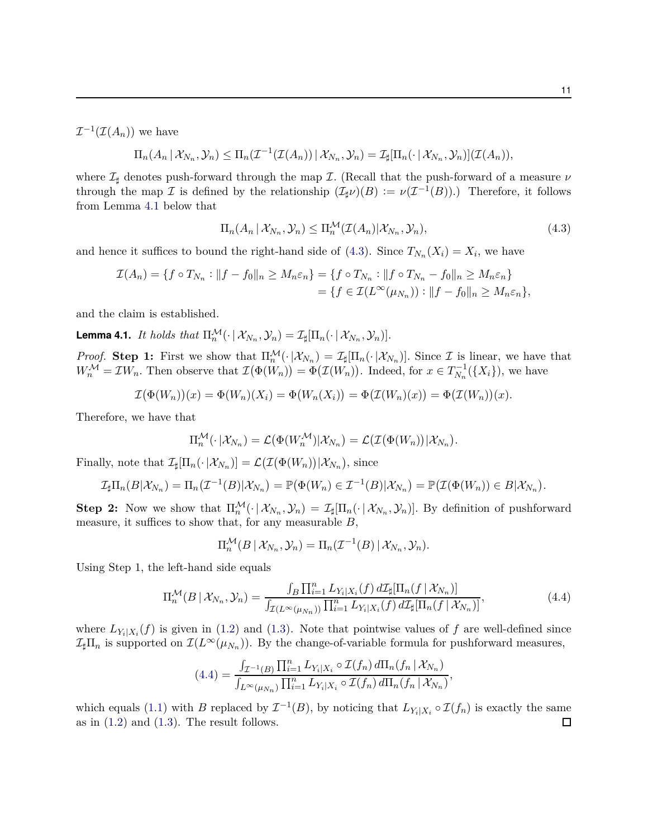$\mathcal{I}^{-1}(\mathcal{I}(A_n))$  we have

$$
\Pi_n(A_n | \mathcal{X}_{N_n}, \mathcal{Y}_n) \leq \Pi_n(\mathcal{I}^{-1}(\mathcal{I}(A_n)) | \mathcal{X}_{N_n}, \mathcal{Y}_n) = \mathcal{I}_{\sharp}[\Pi_n(\cdot | \mathcal{X}_{N_n}, \mathcal{Y}_n)](\mathcal{I}(A_n)),
$$

where I*<sup>♯</sup>* denotes push-forward through the map I*.* (Recall that the push-forward of a measure *ν* through the map  $\mathcal I$  is defined by the relationship  $(\mathcal I_{\sharp}\nu)(B) := \nu(\mathcal I^{-1}(B))$ .) Therefore, it follows from Lemma [4.1](#page-10-0) below that

<span id="page-10-1"></span>
$$
\Pi_n(A_n \,|\, \mathcal{X}_{N_n}, \mathcal{Y}_n) \le \Pi_n^{\mathcal{M}}(\mathcal{I}(A_n) \,|\, \mathcal{X}_{N_n}, \mathcal{Y}_n),\tag{4.3}
$$

and hence it suffices to bound the right-hand side of [\(4.3\)](#page-10-1). Since  $T_{N_n}(X_i) = X_i$ , we have

$$
\mathcal{I}(A_n) = \{ f \circ T_{N_n} : ||f - f_0||_n \ge M_n \varepsilon_n \} = \{ f \circ T_{N_n} : ||f \circ T_{N_n} - f_0||_n \ge M_n \varepsilon_n \} \n= \{ f \in \mathcal{I}(L^{\infty}(\mu_{N_n})) : ||f - f_0||_n \ge M_n \varepsilon_n \},
$$

and the claim is established.

<span id="page-10-0"></span>**Lemma 4.1.** *It holds that*  $\Pi_n^{\mathcal{M}}(\cdot | \mathcal{X}_{N_n}, \mathcal{Y}_n) = \mathcal{I}_{\sharp}[\Pi_n(\cdot | \mathcal{X}_{N_n}, \mathcal{Y}_n)].$ 

*Proof.* Step 1: First we show that  $\Pi_n^{\mathcal{M}}(\cdot | \mathcal{X}_{N_n}) = \mathcal{I}_{\sharp}[\Pi_n(\cdot | \mathcal{X}_{N_n})]$ . Since  $\mathcal{I}$  is linear, we have that  $W_n^{\mathcal{M}} = \mathcal{I}W_n$ . Then observe that  $\mathcal{I}(\Phi(W_n)) = \Phi(\mathcal{I}(W_n))$ . Indeed, for  $x \in T_{N_n}^{-1}(\{X_i\})$ , we have

$$
\mathcal{I}(\Phi(W_n))(x) = \Phi(W_n)(X_i) = \Phi(W_n(X_i)) = \Phi(\mathcal{I}(W_n)(x)) = \Phi(\mathcal{I}(W_n))(x).
$$

Therefore, we have that

$$
\Pi_n^{\mathcal{M}}(\cdot | \mathcal{X}_{N_n}) = \mathcal{L}(\Phi(W_n^{\mathcal{M}})|\mathcal{X}_{N_n}) = \mathcal{L}(\mathcal{I}(\Phi(W_n))|\mathcal{X}_{N_n}).
$$

Finally, note that  $\mathcal{I}_{\sharp}[\Pi_n(\cdot|\mathcal{X}_{N_n})] = \mathcal{L}(\mathcal{I}(\Phi(W_n))|\mathcal{X}_{N_n}),$  since

$$
\mathcal{I}_{\sharp}\Pi_n(B|\mathcal{X}_{N_n})=\Pi_n(\mathcal{I}^{-1}(B)|\mathcal{X}_{N_n})=\mathbb{P}(\Phi(W_n)\in\mathcal{I}^{-1}(B)|\mathcal{X}_{N_n})=\mathbb{P}(\mathcal{I}(\Phi(W_n))\in B|\mathcal{X}_{N_n}).
$$

**Step 2:** Now we show that  $\Pi_n^{\mathcal{M}}(\cdot | \mathcal{X}_{N_n}, \mathcal{Y}_n) = \mathcal{I}_{\sharp}[\Pi_n(\cdot | \mathcal{X}_{N_n}, \mathcal{Y}_n)]$ . By definition of pushforward measure, it suffices to show that, for any measurable *B,*

<span id="page-10-2"></span>
$$
\Pi_n^{\mathcal{M}}(B \,|\, \mathcal{X}_{N_n}, \mathcal{Y}_n) = \Pi_n(\mathcal{I}^{-1}(B) \,|\, \mathcal{X}_{N_n}, \mathcal{Y}_n).
$$

Using Step 1, the left-hand side equals

$$
\Pi_n^{\mathcal{M}}(B \mid \mathcal{X}_{N_n}, \mathcal{Y}_n) = \frac{\int_B \prod_{i=1}^n L_{Y_i \mid X_i}(f) \, d\mathcal{I}_{\sharp}[\Pi_n(f \mid \mathcal{X}_{N_n})]}{\int_{\mathcal{I}(L^{\infty}(\mu_{N_n}))} \prod_{i=1}^n L_{Y_i \mid X_i}(f) \, d\mathcal{I}_{\sharp}[\Pi_n(f \mid \mathcal{X}_{N_n})]},
$$
\n(4.4)

where  $L_{Y_i|X_i}(f)$  is given in [\(1.2\)](#page-1-1) and [\(1.3\)](#page-1-2). Note that pointwise values of *f* are well-defined since  $\mathcal{I}_{\sharp}\Pi_n$  is supported on  $\mathcal{I}(L^{\infty}(\mu_{N_n}))$ . By the change-of-variable formula for pushforward measures,

$$
(4.4) = \frac{\int_{\mathcal{I}^{-1}(B)} \prod_{i=1}^n L_{Y_i|X_i} \circ \mathcal{I}(f_n) d\Pi_n(f_n | \mathcal{X}_{N_n})}{\int_{L^{\infty}(\mu_{N_n})} \prod_{i=1}^n L_{Y_i|X_i} \circ \mathcal{I}(f_n) d\Pi_n(f_n | \mathcal{X}_{N_n})},
$$

which equals [\(1.1\)](#page-1-0) with *B* replaced by  $\mathcal{I}^{-1}(B)$ , by noticing that  $L_{Y_i|X_i} \circ \mathcal{I}(f_n)$  is exactly the same as in  $(1.2)$  and  $(1.3)$ . The result follows.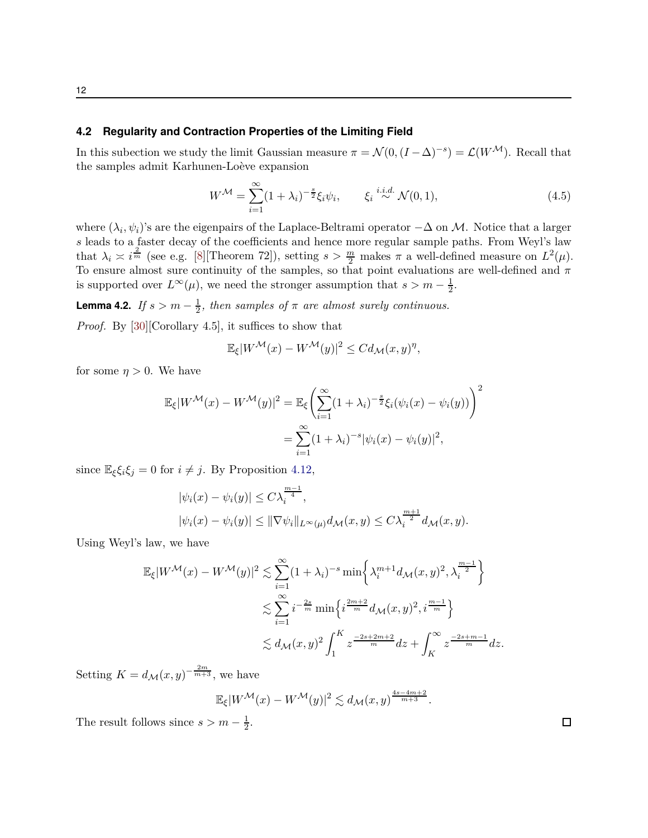#### <span id="page-11-0"></span>**4.2 Regularity and Contraction Properties of the Limiting Field**

In this subection we study the limit Gaussian measure  $\pi = \mathcal{N}(0, (I - \Delta)^{-s}) = \mathcal{L}(W^{\mathcal{M}})$ . Recall that the samples admit Karhunen-Loève expansion

<span id="page-11-1"></span>
$$
W^{\mathcal{M}} = \sum_{i=1}^{\infty} (1 + \lambda_i)^{-\frac{s}{2}} \xi_i \psi_i, \qquad \xi_i \stackrel{i.i.d.}{\sim} \mathcal{N}(0, 1), \tag{4.5}
$$

where  $(\lambda_i, \psi_i)$ 's are the eigenpairs of the Laplace-Beltrami operator  $-\Delta$  on M. Notice that a larger *s* leads to a faster decay of the coefficients and hence more regular sample paths. From Weyl's law that  $\lambda_i \asymp i^{\frac{2}{m}}$  (see e.g. [\[8\]](#page-23-9) [Theorem 72]), setting  $s > \frac{m}{2}$  makes  $\pi$  a well-defined measure on  $L^2(\mu)$ . To ensure almost sure continuity of the samples, so that point evaluations are well-defined and  $\pi$ is supported over  $L^{\infty}(\mu)$ , we need the stronger assumption that  $s > m - \frac{1}{2}$  $\frac{1}{2}$ .

**Lemma 4.2.** *If*  $s > m - \frac{1}{2}$ , then samples of  $\pi$  are almost surely continuous. *Proof.* By [\[30](#page-24-10)][Corollary 4.5], it suffices to show that

$$
\mathbb{E}_{\xi}|W^{\mathcal{M}}(x) - W^{\mathcal{M}}(y)|^2 \leq C d_{\mathcal{M}}(x, y)^{\eta},
$$

for some  $\eta > 0$ . We have

$$
\mathbb{E}_{\xi}|W^{\mathcal{M}}(x) - W^{\mathcal{M}}(y)|^{2} = \mathbb{E}_{\xi}\left(\sum_{i=1}^{\infty} (1 + \lambda_{i})^{-\frac{s}{2}}\xi_{i}(\psi_{i}(x) - \psi_{i}(y))\right)^{2}
$$

$$
= \sum_{i=1}^{\infty} (1 + \lambda_{i})^{-s}|\psi_{i}(x) - \psi_{i}(y)|^{2},
$$

since  $\mathbb{E}_{\xi} \xi_i \xi_j = 0$  for  $i \neq j$ . By Proposition [4.12,](#page-16-1)

$$
|\psi_i(x) - \psi_i(y)| \le C\lambda_i^{\frac{m-1}{4}},
$$
  

$$
|\psi_i(x) - \psi_i(y)| \le ||\nabla \psi_i||_{L^{\infty}(\mu)} d_{\mathcal{M}}(x, y) \le C\lambda_i^{\frac{m+1}{2}} d_{\mathcal{M}}(x, y).
$$

*m*−1

Using Weyl's law, we have

$$
\mathbb{E}_{\xi}|W^{\mathcal{M}}(x) - W^{\mathcal{M}}(y)|^{2} \lesssim \sum_{i=1}^{\infty} (1 + \lambda_{i})^{-s} \min\left\{\lambda_{i}^{m+1} d_{\mathcal{M}}(x, y)^{2}, \lambda_{i}^{\frac{m-1}{2}}\right\}
$$
  

$$
\lesssim \sum_{i=1}^{\infty} i^{-\frac{2s}{m}} \min\left\{i^{\frac{2m+2}{m}} d_{\mathcal{M}}(x, y)^{2}, i^{\frac{m-1}{m}}\right\}
$$
  

$$
\lesssim d_{\mathcal{M}}(x, y)^{2} \int_{1}^{K} z^{\frac{-2s+2m+2}{m}} dz + \int_{K}^{\infty} z^{\frac{-2s+m-1}{m}} dz.
$$

Setting  $K = d_{\mathcal{M}}(x, y)^{-\frac{2m}{m+3}}$ , we have

$$
\mathbb{E}_{\xi}|W^{\mathcal{M}}(x) - W^{\mathcal{M}}(y)|^2 \lesssim d_{\mathcal{M}}(x,y)^{\frac{4s-4m+2}{m+3}}.
$$

The result follows since  $s > m - \frac{1}{2}$  $\frac{1}{2}$ .  $\Box$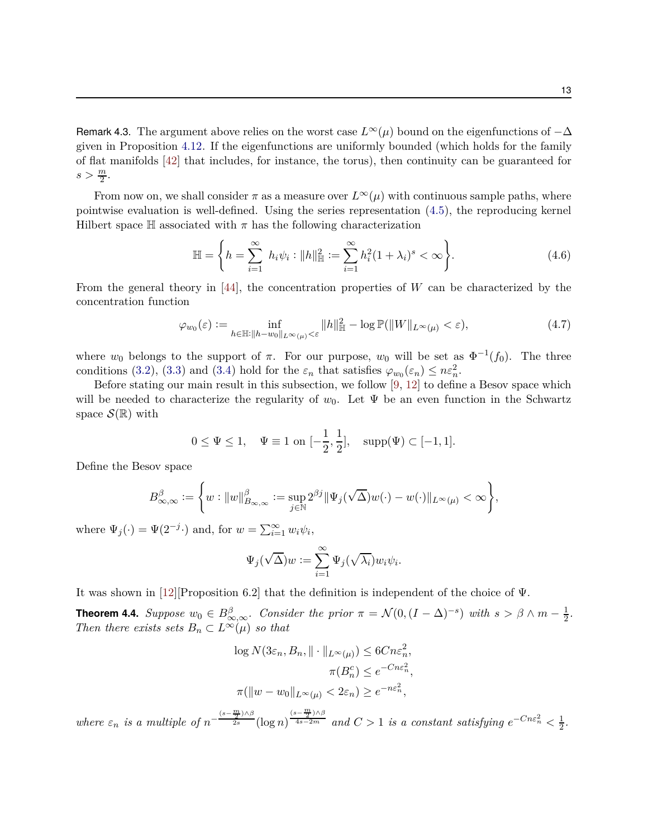Remark 4.3. The argument above relies on the worst case  $L^{\infty}(\mu)$  bound on the eigenfunctions of  $-\Delta$ given in Proposition [4.12.](#page-16-1) If the eigenfunctions are uniformly bounded (which holds for the family of flat manifolds [\[42](#page-25-11)] that includes, for instance, the torus), then continuity can be guaranteed for  $s > \frac{m}{2}$ .

From now on, we shall consider  $\pi$  as a measure over  $L^{\infty}(\mu)$  with continuous sample paths, where pointwise evaluation is well-defined. Using the series representation [\(4.5\)](#page-11-1), the reproducing kernel Hilbert space  $H$  associated with  $\pi$  has the following characterization

<span id="page-12-1"></span><span id="page-12-0"></span>
$$
\mathbb{H} = \left\{ h = \sum_{i=1}^{\infty} h_i \psi_i : \|h\|_{\mathbb{H}}^2 := \sum_{i=1}^{\infty} h_i^2 (1 + \lambda_i)^s < \infty \right\}.
$$
\n(4.6)

From the general theory in [\[44\]](#page-25-12), the concentration properties of *W* can be characterized by the concentration function

$$
\varphi_{w_0}(\varepsilon) := \inf_{h \in \mathbb{H} : \|h - w_0\|_{L^\infty(\mu)} < \varepsilon} \|h\|_{\mathbb{H}}^2 - \log \mathbb{P}(\|W\|_{L^\infty(\mu)} < \varepsilon),\tag{4.7}
$$

where  $w_0$  belongs to the support of  $\pi$ . For our purpose,  $w_0$  will be set as  $\Phi^{-1}(f_0)$ . The three conditions [\(3.2\)](#page-7-3), [\(3.3\)](#page-7-2) and [\(3.4\)](#page-7-4) hold for the  $\varepsilon_n$  that satisfies  $\varphi_{w_0}(\varepsilon_n) \leq n\varepsilon_n^2$ .

Before stating our main result in this subsection, we follow [\[9](#page-23-3), [12](#page-23-10)] to define a Besov space which will be needed to characterize the regularity of  $w_0$ . Let  $\Psi$  be an even function in the Schwartz space  $\mathcal{S}(\mathbb{R})$  with

$$
0 \le \Psi \le 1
$$
,  $\Psi \equiv 1$  on  $[-\frac{1}{2}, \frac{1}{2}]$ ,  $supp(\Psi) \subset [-1, 1]$ .

Define the Besov space

$$
B_{\infty,\infty}^{\beta}:=\Bigg\{w: \|w\|_{B_{\infty,\infty}}^{\beta}:=\sup_{j\in\mathbb{N}}2^{\beta j}\|\Psi_j(\sqrt{\Delta})w(\cdot)-w(\cdot)\|_{L^{\infty}(\mu)}<\infty\Bigg\},
$$

where  $\Psi_j(\cdot) = \Psi(2^{-j}\cdot)$  and, for  $w = \sum_{i=1}^{\infty} w_i \psi_i$ ,

$$
\Psi_j(\sqrt{\Delta})w := \sum_{i=1}^{\infty} \Psi_j(\sqrt{\lambda_i})w_i\psi_i.
$$

It was shown in [\[12](#page-23-10)][Proposition 6.2] that the definition is independent of the choice of Ψ.

<span id="page-12-2"></span>**Theorem 4.4.** Suppose  $w_0 \in B_{\infty,\infty}^{\beta}$ . Consider the prior  $\pi = \mathcal{N}(0, (I - \Delta)^{-s})$  with  $s > \beta \wedge m - \frac{1}{2}$  $\frac{1}{2}$ . *Then there exists sets*  $B_n \subset L^\infty(\mu)$  *so that* 

$$
\log N(3\varepsilon_n, B_n, \|\cdot\|_{L^{\infty}(\mu)}) \leq 6Cn\varepsilon_n^2,
$$
  

$$
\pi(B_n^c) \leq e^{-Cn\varepsilon_n^2},
$$
  

$$
\pi(\|w - w_0\|_{L^{\infty}(\mu)} < 2\varepsilon_n) \geq e^{-n\varepsilon_n^2},
$$

*where*  $\varepsilon_n$  *is a multiple of*  $n^-$ (*s*−*m* 2 )∧*β* <sup>2</sup>*<sup>s</sup>* (log *n*)  $(s - \frac{m}{2}) ∧ β$  $\frac{4}{4s-2m}$  and  $C > 1$  is a constant satisfying  $e^{-Cn\epsilon_n^2} < \frac{1}{2}$  $\frac{1}{2}$ .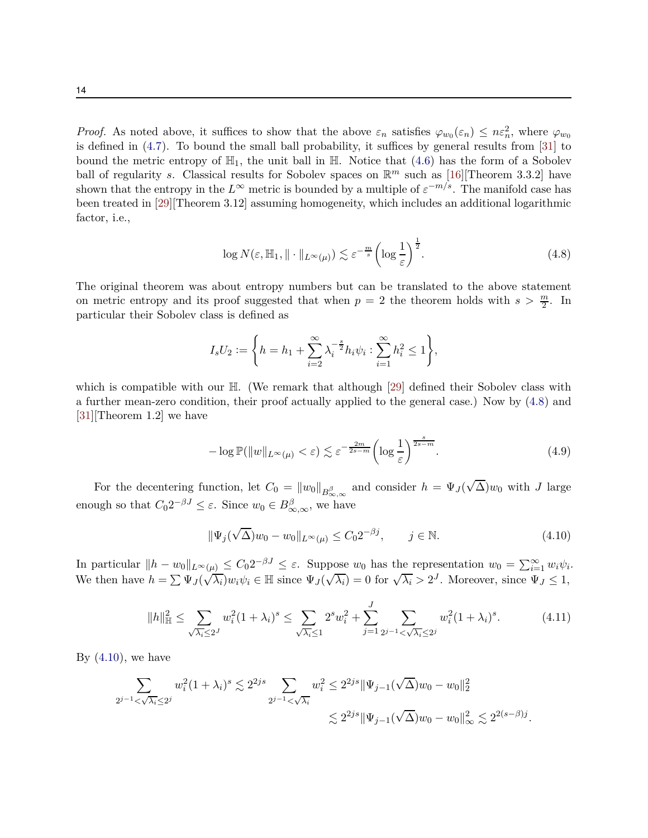*Proof.* As noted above, it suffices to show that the above  $\varepsilon_n$  satisfies  $\varphi_{w_0}(\varepsilon_n) \leq n \varepsilon_n^2$ , where  $\varphi_{w_0}$ is defined in [\(4.7\)](#page-12-0). To bound the small ball probability, it suffices by general results from [\[31](#page-24-11)] to bound the metric entropy of  $\mathbb{H}_1$ , the unit ball in  $\mathbb{H}$ . Notice that [\(4.6\)](#page-12-1) has the form of a Sobolev ball of regularity *s*. Classical results for Sobolev spaces on  $\mathbb{R}^m$  such as [\[16\]](#page-23-11)[Theorem 3.3.2] have shown that the entropy in the  $L^{\infty}$  metric is bounded by a multiple of  $\varepsilon^{-m/s}$ . The manifold case has been treated in [\[29](#page-24-12)][Theorem 3.12] assuming homogeneity, which includes an additional logarithmic factor, i.e.,

<span id="page-13-0"></span>
$$
\log N(\varepsilon, \mathbb{H}_1, \|\cdot\|_{L^{\infty}(\mu)}) \lesssim \varepsilon^{-\frac{m}{s}} \left(\log \frac{1}{\varepsilon}\right)^{\frac{1}{2}}.\tag{4.8}
$$

The original theorem was about entropy numbers but can be translated to the above statement on metric entropy and its proof suggested that when  $p = 2$  the theorem holds with  $s > \frac{m}{2}$ . In particular their Sobolev class is defined as

$$
I_s U_2 := \left\{ h = h_1 + \sum_{i=2}^{\infty} \lambda_i^{-\frac{s}{2}} h_i \psi_i : \sum_{i=1}^{\infty} h_i^2 \le 1 \right\},\,
$$

which is compatible with our H. (We remark that although [\[29\]](#page-24-12) defined their Sobolev class with a further mean-zero condition, their proof actually applied to the general case.) Now by [\(4.8\)](#page-13-0) and [\[31\]](#page-24-11)[Theorem 1.2] we have

<span id="page-13-3"></span>
$$
-\log \mathbb{P}(\|w\|_{L^{\infty}(\mu)} < \varepsilon) \lesssim \varepsilon^{-\frac{2m}{2s-m}} \left( \log \frac{1}{\varepsilon} \right)^{\frac{s}{2s-m}}.\tag{4.9}
$$

For the decentering function, let  $C_0 = ||w_0||_{B_{\infty,\infty}^{\beta}}$  and consider  $h = \Psi_J(\sqrt{\Delta})w_0$  with *J* large enough so that  $C_0 2^{-\beta J} \leq \varepsilon$ . Since  $w_0 \in B_{\infty,\infty}^{\beta}$ , we have

<span id="page-13-2"></span><span id="page-13-1"></span>
$$
\|\Psi_j(\sqrt{\Delta})w_0 - w_0\|_{L^\infty(\mu)} \le C_0 2^{-\beta j}, \qquad j \in \mathbb{N}.\tag{4.10}
$$

 $\text{In particular } \|h - w_0\|_{L^\infty(\mu)} \leq C_0 2^{-\beta J} \leq \varepsilon.$  Suppose  $w_0$  has the representation  $w_0 = \sum_{i=1}^{\infty} w_i \psi_i$ . We then have  $h = \sum \Psi_J(\sqrt{\lambda_i})w_i\psi_i \in \mathbb{H}$  since  $\Psi_J(\sqrt{\lambda_i}) = 0$  for  $\sqrt{\lambda_i} > 2^J$ . Moreover, since  $\Psi_J \le 1$ ,

$$
||h||_{\mathbb{H}}^{2} \leq \sum_{\sqrt{\lambda_{i}} \leq 2^{J}} w_{i}^{2} (1 + \lambda_{i})^{s} \leq \sum_{\sqrt{\lambda_{i}} \leq 1} 2^{s} w_{i}^{2} + \sum_{j=1}^{J} \sum_{2^{j-1} < \sqrt{\lambda_{i}} \leq 2^{j}} w_{i}^{2} (1 + \lambda_{i})^{s}.
$$
\n(4.11)

By  $(4.10)$ , we have

$$
\sum_{2^{j-1} < \sqrt{\lambda_i} \le 2^j} w_i^2 (1 + \lambda_i)^s \lesssim 2^{2js} \sum_{2^{j-1} < \sqrt{\lambda_i}} w_i^2 \le 2^{2js} \|\Psi_{j-1}(\sqrt{\Delta})w_0 - w_0\|_2^2
$$
  

$$
\lesssim 2^{2js} \|\Psi_{j-1}(\sqrt{\Delta})w_0 - w_0\|_{\infty}^2 \lesssim 2^{2(s-\beta)j}.
$$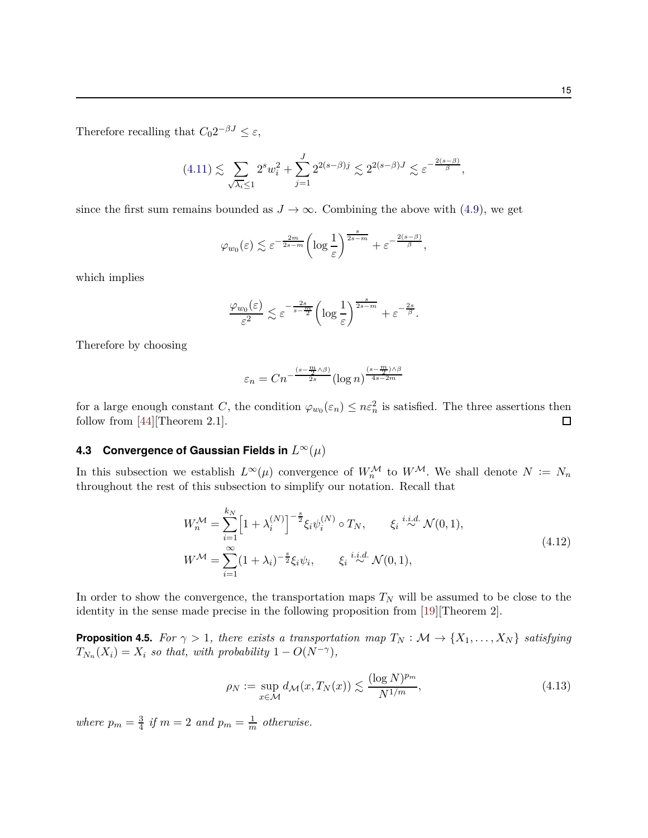Therefore recalling that  $C_0 2^{-\beta J} \leq \varepsilon$ ,

$$
(4.11) \lesssim \sum_{\sqrt{\lambda_i} \le 1} 2^s w_i^2 + \sum_{j=1}^J 2^{2(s-\beta)j} \lesssim 2^{2(s-\beta)J} \lesssim \varepsilon^{-\frac{2(s-\beta)}{\beta}},
$$

since the first sum remains bounded as  $J \to \infty$ . Combining the above with [\(4.9\)](#page-13-3), we get

$$
\varphi_{w_0}(\varepsilon) \lesssim \varepsilon^{-\frac{2m}{2s-m}} \left( \log \frac{1}{\varepsilon} \right)^{\frac{s}{2s-m}} + \varepsilon^{-\frac{2(s-\beta)}{\beta}},
$$

which implies

$$
\frac{\varphi_{w_0}(\varepsilon)}{\varepsilon^2} \lesssim \varepsilon^{-\frac{2s}{s-\frac{m}{2}}}\left(\log \frac{1}{\varepsilon}\right)^{\frac{s}{2s-m}} + \varepsilon^{-\frac{2s}{\beta}}.
$$

Therefore by choosing

$$
\varepsilon_n = Cn^{-\frac{(s-\frac{m}{2}\wedge\beta)}{2s}}(\log n)^{\frac{(s-\frac{m}{2})\wedge\beta}{4s-2m}}
$$

for a large enough constant *C*, the condition  $\varphi_{w_0}(\varepsilon_n) \leq n \varepsilon_n^2$  is satisfied. The three assertions then follow from [\[44](#page-25-12)][Theorem 2.1].  $\Box$ 

# <span id="page-14-0"></span>**4.3 Convergence of Gaussian Fields in** *L* <sup>∞</sup>(*µ*)

In this subsection we establish  $L^{\infty}(\mu)$  convergence of  $W_n^{\mathcal{M}}$  to  $W^{\mathcal{M}}$ . We shall denote  $N := N_n$ throughout the rest of this subsection to simplify our notation. Recall that

$$
W_n^{\mathcal{M}} = \sum_{i=1}^{k_N} \left[ 1 + \lambda_i^{(N)} \right]^{-\frac{s}{2}} \xi_i \psi_i^{(N)} \circ T_N, \qquad \xi_i \stackrel{i.i.d.}{\sim} \mathcal{N}(0, 1),
$$
  
\n
$$
W^{\mathcal{M}} = \sum_{i=1}^{\infty} (1 + \lambda_i)^{-\frac{s}{2}} \xi_i \psi_i, \qquad \xi_i \stackrel{i.i.d.}{\sim} \mathcal{N}(0, 1),
$$
\n(4.12)

In order to show the convergence, the transportation maps  $T_N$  will be assumed to be close to the identity in the sense made precise in the following proposition from [\[19](#page-23-12)][Theorem 2].

<span id="page-14-1"></span>**Proposition 4.5.** *For*  $\gamma > 1$ *, there exists a transportation map*  $T_N : \mathcal{M} \to \{X_1, \ldots, X_N\}$  *satisfying*  $T_{N_n}(X_i) = X_i$  *so that, with probability* 1 −  $O(N^{-\gamma})$ *,* 

<span id="page-14-2"></span>
$$
\rho_N := \sup_{x \in \mathcal{M}} d_{\mathcal{M}}(x, T_N(x)) \lesssim \frac{(\log N)^{p_m}}{N^{1/m}},\tag{4.13}
$$

*where*  $p_m = \frac{3}{4}$  $\frac{3}{4}$  *if*  $m = 2$  *and*  $p_m = \frac{1}{m}$  *otherwise.*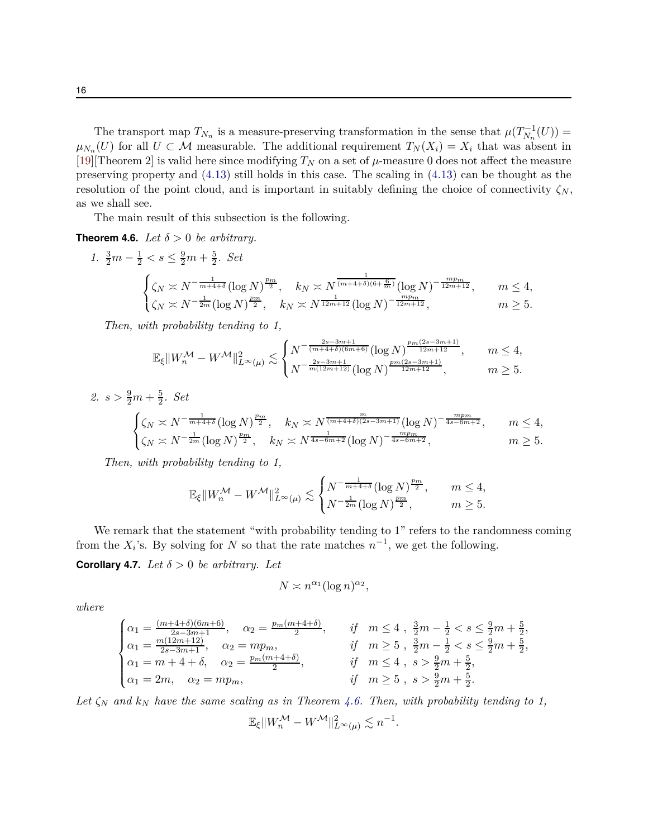The transport map  $T_{N_n}$  is a measure-preserving transformation in the sense that  $\mu(T_{N_n}^{-1}(U))$  =  $\mu_{N_n}(U)$  for all  $U \subset \mathcal{M}$  measurable. The additional requirement  $T_N(X_i) = X_i$  that was absent in [\[19\]](#page-23-12)[Theorem 2] is valid here since modifying  $T_N$  on a set of  $\mu$ -measure 0 does not affect the measure preserving property and [\(4.13\)](#page-14-2) still holds in this case. The scaling in [\(4.13\)](#page-14-2) can be thought as the resolution of the point cloud, and is important in suitably defining the choice of connectivity  $\zeta_N$ , as we shall see.

The main result of this subsection is the following.

## <span id="page-15-0"></span>**Theorem 4.6.** *Let*  $\delta > 0$  *be arbitrary.*

1. 
$$
\frac{3}{2}m - \frac{1}{2} < s \leq \frac{9}{2}m + \frac{5}{2}
$$
. Set  

$$
\begin{cases} \zeta_N \asymp N^{-\frac{1}{m+4+\delta}} (\log N)^{\frac{p_m}{2}}, & k_N \asymp N^{\frac{1}{(m+4+\delta)(6+\frac{6}{m})}} (\log N)^{-\frac{mp_m}{12m+12}}, & m \leq 4, \\ \zeta_N \asymp N^{-\frac{1}{2m}} (\log N)^{\frac{p_m}{2}}, & k_N \asymp N^{\frac{1}{12m+12}} (\log N)^{-\frac{mp_m}{12m+12}}, & m \geq 5. \end{cases}
$$

*Then, with probability tending to 1,*

$$
\mathbb{E}_{\xi} \|W_n^{\mathcal{M}} - W^{\mathcal{M}}\|_{L^{\infty}(\mu)}^2 \lesssim \begin{cases} N^{-\frac{2s-3m+1}{(m+4+\delta)(6m+6)}} (\log N)^{\frac{p_m(2s-3m+1)}{12m+12}}, & m \le 4, \\ N^{-\frac{2s-3m+1}{m(12m+12)}} (\log N)^{\frac{p_m(2s-3m+1)}{12m+12}}, & m \ge 5. \end{cases}
$$

2.  $s > \frac{9}{2}m + \frac{5}{2}$ 2 *. Set*  $\sqrt{ }$  $\frac{1}{2}$  $\mathbf{I}$  $\zeta_N \asymp N^{-\frac{1}{m+4+\delta}} (\log N)^{\frac{pm}{2}}, \quad k_N \asymp N^{\frac{m}{(m+4+\delta)(2s-3m+1)}} (\log N)^{-\frac{mpm}{4s-6m+2}}, \qquad m \le 4,$  $\zeta_N \asymp N^{-\frac{1}{2m}} (\log N)^{\frac{pm}{2}}, \quad k_N \asymp N^{\frac{1}{4s-6m+2}} (\log N)^{-\frac{mpm}{4s-6m+2}}, \qquad m \ge 5.$ 

*Then, with probability tending to 1,*

$$
\mathbb{E}_\xi\|W_n^\mathcal{M} - W^\mathcal{M}\|_{L^\infty(\mu)}^2 \lesssim \begin{cases} N^{-\frac{1}{m+4+\delta}}(\log N)^{\frac{p_m}{2}}, & m \leq 4,\\ N^{-\frac{1}{2m}}(\log N)^{\frac{p_m}{2}}, & m \geq 5. \end{cases}
$$

We remark that the statement "with probability tending to 1" refers to the randomness coming from the  $X_i$ 's. By solving for  $N$  so that the rate matches  $n^{-1}$ , we get the following.

<span id="page-15-1"></span>**Corollary 4.7.** *Let*  $\delta > 0$  *be arbitrary. Let* 

$$
N \asymp n^{\alpha_1} (\log n)^{\alpha_2},
$$

*where*

$$
\begin{cases} \alpha_1 = \frac{(m+4+\delta)(6m+6)}{2s-3m+1}, & \alpha_2 = \frac{p_m(m+4+\delta)}{2}, & \text{if} \quad m \le 4 \ , \ \frac{3}{2}m - \frac{1}{2} < s \le \frac{9}{2}m + \frac{5}{2}, \\ \alpha_1 = \frac{m(12m+12)}{2s-3m+1}, & \alpha_2 = mp_m, & \text{if} \quad m \ge 5 \ , \ \frac{3}{2}m - \frac{1}{2} < s \le \frac{9}{2}m + \frac{5}{2}, \\ \alpha_1 = m + 4 + \delta, & \alpha_2 = \frac{p_m(m+4+\delta)}{2}, & \text{if} \quad m \le 4 \ , \ s > \frac{9}{2}m + \frac{5}{2}, \\ \alpha_1 = 2m, & \alpha_2 = mp_m, & \text{if} \quad m \ge 5 \ , \ s > \frac{9}{2}m + \frac{5}{2}. \end{cases}
$$

*Let ζ<sup>N</sup> and k<sup>N</sup> have the same scaling as in Theorem [4.6.](#page-15-0) Then, with probability tending to 1,*

$$
\mathbb{E}_{\xi} \|W_n^{\mathcal{M}} - W^{\mathcal{M}}\|_{L^{\infty}(\mu)}^2 \lesssim n^{-1}.
$$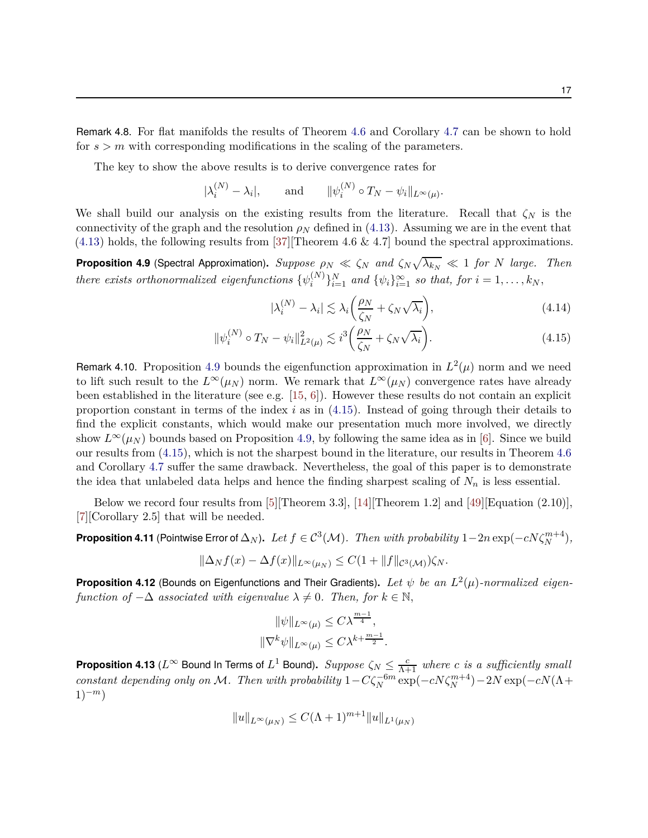Remark 4.8. For flat manifolds the results of Theorem [4.6](#page-15-0) and Corollary [4.7](#page-15-1) can be shown to hold for  $s > m$  with corresponding modifications in the scaling of the parameters.

The key to show the above results is to derive convergence rates for

$$
|\lambda_i^{(N)} - \lambda_i|
$$
, and  $||\psi_i^{(N)} \circ T_N - \psi_i||_{L^{\infty}(\mu)}$ .

We shall build our analysis on the existing results from the literature. Recall that  $\zeta_N$  is the connectivity of the graph and the resolution  $\rho_N$  defined in [\(4.13\)](#page-14-2). Assuming we are in the event that  $(4.13)$  holds, the following results from [\[37](#page-25-8)][Theorem 4.6 & 4.7] bound the spectral approximations.

<span id="page-16-0"></span>**Proposition 4.9** (Spectral Approximation).  $Suppose \rho_N \ll \zeta_N$  and  $\zeta_N \sqrt{\lambda_{k_N}} \ll 1$  for *N* large. Then  $t$ *here exists orthonormalized eigenfunctions*  $\{\psi_i^{(N)}\}$  $\{w_i^{(N)}\}_{i=1}^N$  *and*  $\{\psi_i\}_{i=1}^\infty$  *so that, for*  $i = 1, \ldots, k_N$ ,

<span id="page-16-5"></span><span id="page-16-2"></span>
$$
|\lambda_i^{(N)} - \lambda_i| \lesssim \lambda_i \left(\frac{\rho_N}{\zeta_N} + \zeta_N \sqrt{\lambda_i}\right),\tag{4.14}
$$

$$
\|\psi_i^{(N)} \circ T_N - \psi_i\|_{L^2(\mu)}^2 \lesssim i^3 \left(\frac{\rho_N}{\zeta_N} + \zeta_N \sqrt{\lambda_i}\right). \tag{4.15}
$$

Remark 4.10. Proposition [4.9](#page-16-0) bounds the eigenfunction approximation in  $L^2(\mu)$  norm and we need to lift such result to the  $L^{\infty}(\mu_N)$  norm. We remark that  $L^{\infty}(\mu_N)$  convergence rates have already been established in the literature (see e.g. [\[15](#page-23-7), [6\]](#page-22-4)). However these results do not contain an explicit proportion constant in terms of the index *i* as in [\(4.15\)](#page-16-2). Instead of going through their details to find the explicit constants, which would make our presentation much more involved, we directly show  $L^{\infty}(\mu_N)$  bounds based on Proposition [4.9,](#page-16-0) by following the same idea as in [\[6\]](#page-22-4). Since we build our results from [\(4.15\)](#page-16-2), which is not the sharpest bound in the literature, our results in Theorem [4.6](#page-15-0) and Corollary [4.7](#page-15-1) suffer the same drawback. Nevertheless, the goal of this paper is to demonstrate the idea that unlabeled data helps and hence the finding sharpest scaling of  $N_n$  is less essential.

Below we record four results from [\[5](#page-22-6)][Theorem 3.3], [\[14](#page-23-13)][Theorem 1.2] and [\[49\]](#page-26-3)[Equation (2.10)], [\[7](#page-23-5)][Corollary 2.5] that will be needed.

<span id="page-16-4"></span>**Proposition 4.11** (Pointwise Error of  $\Delta_N$ ). Let  $f \in C^3(\mathcal{M})$ . Then with probability  $1-2n \exp(-cN\zeta_N^{m+4})$ ,

$$
\|\Delta_N f(x) - \Delta f(x)\|_{L^\infty(\mu_N)} \leq C(1 + \|f\|_{\mathcal{C}^3(\mathcal{M})})\zeta_N.
$$

<span id="page-16-1"></span>**Proposition 4.12** (Bounds on Eigenfunctions and Their Gradients)**.** *Let ψ be an L* 2 (*µ*)*-normalized eigenfunction of*  $-\Delta$  *associated with eigenvalue*  $\lambda \neq 0$ *. Then, for*  $k \in \mathbb{N}$ *,* 

$$
\|\psi\|_{L^{\infty}(\mu)} \leq C\lambda^{\frac{m-1}{4}},
$$
  

$$
\|\nabla^{k}\psi\|_{L^{\infty}(\mu)} \leq C\lambda^{k+\frac{m-1}{2}}.
$$

<span id="page-16-3"></span>**Proposition 4.13** ( $L^\infty$  Bound In Terms of  $L^1$  Bound). *Suppose*  $\zeta_N \leq \frac{c}{\Lambda+1}$  where  $c$  *is a sufficiently small constant depending only on* M*.* Then with probability  $1-C\zeta_N^{-6m} \exp(-cN\zeta_N^{m+4})-2N \exp(-cN(\Lambda +$ 1)−*m*)

$$
||u||_{L^{\infty}(\mu_N)} \leq C(\Lambda + 1)^{m+1} ||u||_{L^1(\mu_N)}
$$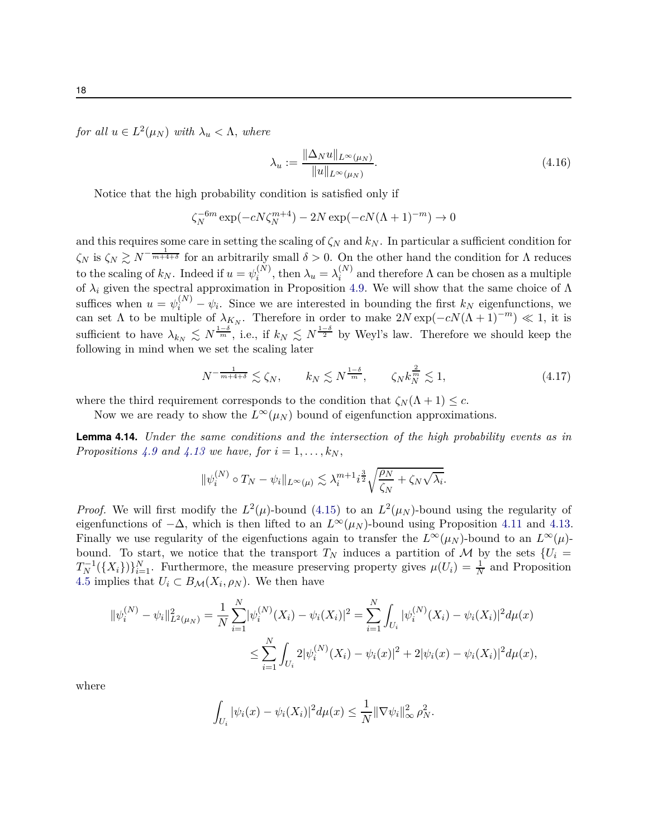$for \ all \ u \in L^2(\mu_N) \ with \ \lambda_u < \Lambda, \ where$ 

<span id="page-17-0"></span>
$$
\lambda_u := \frac{\|\Delta_N u\|_{L^\infty(\mu_N)}}{\|u\|_{L^\infty(\mu_N)}}.
$$
\n(4.16)

Notice that the high probability condition is satisfied only if

$$
\zeta_N^{-6m} \exp(-cN\zeta_N^{m+4}) - 2N \exp(-cN(\Lambda + 1)^{-m}) \to 0
$$

and this requires some care in setting the scaling of  $\zeta_N$  and  $k_N$ . In particular a sufficient condition for  $\zeta_N$  is  $\zeta_N \gtrsim N^{-\frac{1}{m+4+\delta}}$  for an arbitrarily small  $\delta > 0$ . On the other hand the condition for  $\Lambda$  reduces to the scaling of  $k_N$ . Indeed if  $u = \psi_i^{(N)}$  $\lambda_i^{(N)}$ , then  $\lambda_u = \lambda_i^{(N)}$  $i^{(N)}$  and therefore  $\Lambda$  can be chosen as a multiple of  $\lambda_i$  given the spectral approximation in Proposition [4.9.](#page-16-0) We will show that the same choice of  $\Lambda$ suffices when  $u = \psi_i^{(N)} - \psi_i$ . Since we are interested in bounding the first  $k_N$  eigenfunctions, we can set  $\Lambda$  to be multiple of  $\lambda_{K_N}$ . Therefore in order to make  $2N \exp(-cN(\Lambda + 1)^{-m}) \ll 1$ , it is sufficient to have  $\lambda_{k_N} \leq N^{\frac{1-\delta}{m}}$ , i.e., if  $k_N \leq N^{\frac{1-\delta}{2}}$  by Weyl's law. Therefore we should keep the following in mind when we set the scaling later

<span id="page-17-2"></span>
$$
N^{-\frac{1}{m+4+\delta}} \lesssim \zeta_N, \qquad k_N \lesssim N^{\frac{1-\delta}{m}}, \qquad \zeta_N k_N^{\frac{2}{m}} \lesssim 1,\tag{4.17}
$$

where the third requirement corresponds to the condition that  $\zeta_N(\Lambda + 1) \leq c$ .

Now we are ready to show the  $L^{\infty}(\mu_N)$  bound of eigenfunction approximations.

<span id="page-17-1"></span>**Lemma 4.14.** *Under the same conditions and the intersection of the high probability events as in Propositions* [4.9](#page-16-0) and [4.13](#page-16-3) we have, for  $i = 1, \ldots, k_N$ ,

$$
\|\psi_i^{(N)} \circ T_N - \psi_i\|_{L^\infty(\mu)} \lesssim \lambda_i^{m+1} i^{\frac{3}{2}} \sqrt{\frac{\rho_N}{\zeta_N} + \zeta_N \sqrt{\lambda_i}}.
$$

*Proof.* We will first modify the  $L^2(\mu)$ -bound [\(4.15\)](#page-16-2) to an  $L^2(\mu)$ -bound using the regularity of eigenfunctions of  $-\Delta$ , which is then lifted to an  $L^{\infty}(\mu_N)$ -bound using Proposition [4.11](#page-16-4) and [4.13.](#page-16-3) Finally we use regularity of the eigenfuctions again to transfer the  $L^{\infty}(\mu_N)$ -bound to an  $L^{\infty}(\mu)$ bound. To start, we notice that the transport  $T_N$  induces a partition of M by the sets  $\{U_i =$  $T_N^{-1}(\{X_i\})\}_{i=1}^N$ . Furthermore, the measure preserving property gives  $\mu(U_i) = \frac{1}{N}$  and Proposition [4.5](#page-14-1) implies that  $U_i \subset B_{\mathcal{M}}(X_i, \rho_N)$ . We then have

$$
\begin{aligned} \|\psi_i^{(N)} - \psi_i\|_{L^2(\mu_N)}^2 &= \frac{1}{N} \sum_{i=1}^N |\psi_i^{(N)}(X_i) - \psi_i(X_i)|^2 = \sum_{i=1}^N \int_{U_i} |\psi_i^{(N)}(X_i) - \psi_i(X_i)|^2 d\mu(x) \\ &\le \sum_{i=1}^N \int_{U_i} 2|\psi_i^{(N)}(X_i) - \psi_i(x)|^2 + 2|\psi_i(x) - \psi_i(X_i)|^2 d\mu(x), \end{aligned}
$$

where

$$
\int_{U_i} |\psi_i(x) - \psi_i(X_i)|^2 d\mu(x) \leq \frac{1}{N} \|\nabla \psi_i\|_{\infty}^2 \rho_N^2.
$$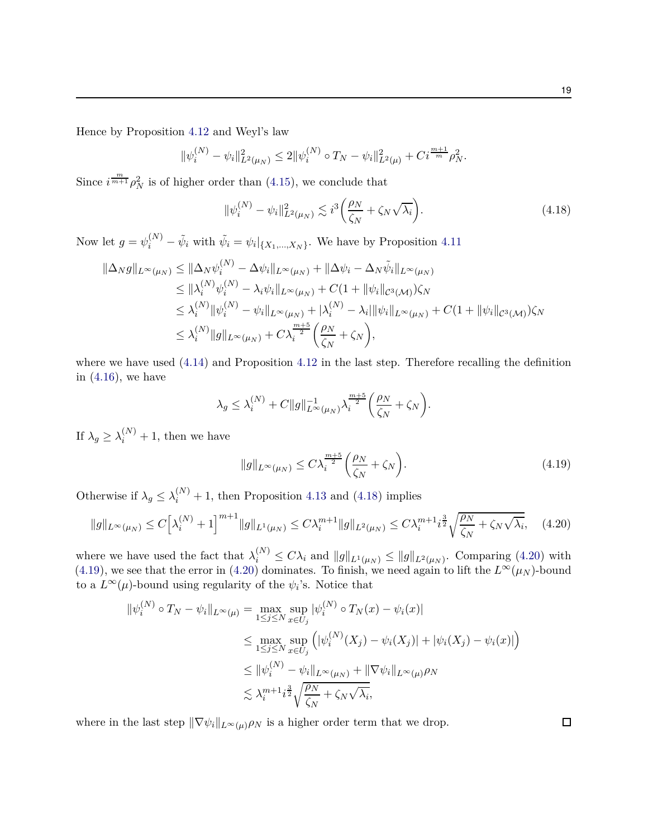Hence by Proposition [4.12](#page-16-1) and Weyl's law

$$
\|\psi_i^{(N)} - \psi_i\|_{L^2(\mu_N)}^2 \le 2\|\psi_i^{(N)} \circ T_N - \psi_i\|_{L^2(\mu)}^2 + C i^{\frac{m+1}{m}} \rho_N^2.
$$

Since  $i^{\frac{m}{m+1}}\rho_N^2$  is of higher order than [\(4.15\)](#page-16-2), we conclude that

<span id="page-18-0"></span>
$$
\|\psi_i^{(N)} - \psi_i\|_{L^2(\mu_N)}^2 \lesssim i^3 \left(\frac{\rho_N}{\zeta_N} + \zeta_N \sqrt{\lambda_i}\right). \tag{4.18}
$$

Now let  $g = \psi_i^{(N)} - \tilde{\psi}_i$  with  $\tilde{\psi}_i = \psi_i|_{\{X_1, \dots, X_N\}}$ . We have by Proposition [4.11](#page-16-4)

$$
\|\Delta_N g\|_{L^{\infty}(\mu_N)} \leq \|\Delta_N \psi_i^{(N)} - \Delta \psi_i\|_{L^{\infty}(\mu_N)} + \|\Delta \psi_i - \Delta_N \tilde{\psi}_i\|_{L^{\infty}(\mu_N)} \n\leq \|\lambda_i^{(N)} \psi_i^{(N)} - \lambda_i \psi_i\|_{L^{\infty}(\mu_N)} + C(1 + \|\psi_i\|_{C^3(\mathcal{M})})\zeta_N \n\leq \lambda_i^{(N)} \|\psi_i^{(N)} - \psi_i\|_{L^{\infty}(\mu_N)} + |\lambda_i^{(N)} - \lambda_i| \|\psi_i\|_{L^{\infty}(\mu_N)} + C(1 + \|\psi_i\|_{C^3(\mathcal{M})})\zeta_N \n\leq \lambda_i^{(N)} \|g\|_{L^{\infty}(\mu_N)} + C\lambda_i^{\frac{m+5}{2}} \left(\frac{\rho_N}{\zeta_N} + \zeta_N\right),
$$

where we have used  $(4.14)$  and Proposition [4.12](#page-16-1) in the last step. Therefore recalling the definition in  $(4.16)$ , we have

$$
\lambda_g \leq \lambda_i^{(N)} + C \|g\|_{L^\infty(\mu_N)}^{-1} \lambda_i^{\frac{m+5}{2}} \left(\frac{\rho_N}{\zeta_N} + \zeta_N\right).
$$

If  $\lambda_g \geq \lambda_i^{(N)} + 1$ , then we have

$$
||g||_{L^{\infty}(\mu)} \leq C\lambda_i^{\frac{m+5}{2}} \left(\frac{\rho_N}{\zeta_N} + \zeta_N\right). \tag{4.19}
$$

Otherwise if  $\lambda_g \leq \lambda_i^{(N)} + 1$ , then Proposition [4.13](#page-16-3) and [\(4.18\)](#page-18-0) implies

$$
||g||_{L^{\infty}(\mu_{N})} \leq C\Big[\lambda_i^{(N)} + 1\Big]^{m+1} ||g||_{L^1(\mu_N)} \leq C\lambda_i^{m+1} ||g||_{L^2(\mu_N)} \leq C\lambda_i^{m+1} i^{\frac{3}{2}} \sqrt{\frac{\rho_N}{\zeta_N} + \zeta_N \sqrt{\lambda_i}}, \quad (4.20)
$$

where we have used the fact that  $\lambda_i^{(N)} \leq C \lambda_i$  and  $||g||_{L^1(\mu_N)} \leq ||g||_{L^2(\mu_N)}$ . Comparing [\(4.20\)](#page-18-1) with [\(4.19\)](#page-18-2), we see that the error in [\(4.20\)](#page-18-1) dominates. To finish, we need again to lift the  $L^{\infty}(\mu_N)$ -bound to a  $L^{\infty}(\mu)$ -bound using regularity of the  $\psi_i$ 's. Notice that

$$
\begin{split} \|\psi_i^{(N)} \circ T_N - \psi_i\|_{L^{\infty}(\mu)} &= \max_{1 \le j \le N} \sup_{x \in U_j} |\psi_i^{(N)} \circ T_N(x) - \psi_i(x)| \\ &\le \max_{1 \le j \le N} \sup_{x \in U_j} \left( |\psi_i^{(N)}(X_j) - \psi_i(X_j)| + |\psi_i(X_j) - \psi_i(x)| \right) \\ &\le \|\psi_i^{(N)} - \psi_i\|_{L^{\infty}(\mu_N)} + \|\nabla \psi_i\|_{L^{\infty}(\mu)} \rho_N \\ &\le \lambda_i^{m+1} i^{\frac{3}{2}} \sqrt{\frac{\rho_N}{\zeta_N} + \zeta_N \sqrt{\lambda_i}}, \end{split}
$$

where in the last step  $\|\nabla \psi_i\|_{L^\infty(\mu)}\rho_N$  is a higher order term that we drop.

<span id="page-18-2"></span><span id="page-18-1"></span> $\Box$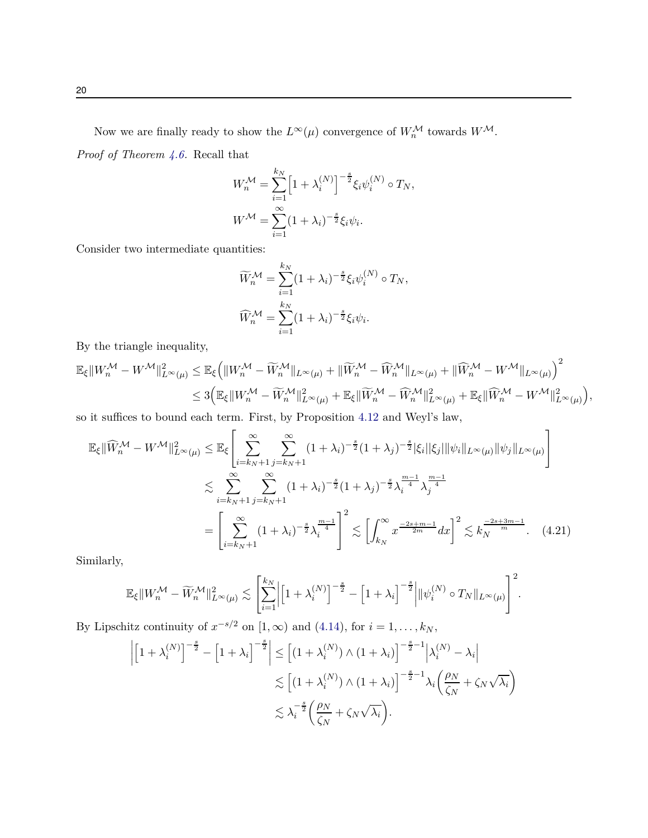Now we are finally ready to show the  $L^{\infty}(\mu)$  convergence of  $W_n^{\mathcal{M}}$  towards  $W^{\mathcal{M}}$ .

*Proof of Theorem [4.6.](#page-15-0)* Recall that

$$
W_n^{\mathcal{M}} = \sum_{i=1}^{k_N} \left[ 1 + \lambda_i^{(N)} \right]^{-\frac{s}{2}} \xi_i \psi_i^{(N)} \circ T_N,
$$
  

$$
W^{\mathcal{M}} = \sum_{i=1}^{\infty} (1 + \lambda_i)^{-\frac{s}{2}} \xi_i \psi_i.
$$

Consider two intermediate quantities:

<span id="page-19-0"></span>
$$
\widetilde{W}_n^{\mathcal{M}} = \sum_{i=1}^{k_N} (1 + \lambda_i)^{-\frac{s}{2}} \xi_i \psi_i^{(N)} \circ T_N,
$$
  

$$
\widehat{W}_n^{\mathcal{M}} = \sum_{i=1}^{k_N} (1 + \lambda_i)^{-\frac{s}{2}} \xi_i \psi_i.
$$

By the triangle inequality,

$$
\mathbb{E}_{\xi} \|W_n^{\mathcal{M}} - W^{\mathcal{M}}\|_{L^{\infty}(\mu)}^2 \leq \mathbb{E}_{\xi} \Big( \|W_n^{\mathcal{M}} - \widetilde{W}_n^{\mathcal{M}}\|_{L^{\infty}(\mu)} + \|\widetilde{W}_n^{\mathcal{M}} - \widehat{W}_n^{\mathcal{M}}\|_{L^{\infty}(\mu)} + \|\widehat{W}_n^{\mathcal{M}} - W^{\mathcal{M}}\|_{L^{\infty}(\mu)} \Big)^2 \leq 3 \Big( \mathbb{E}_{\xi} \|W_n^{\mathcal{M}} - \widetilde{W}_n^{\mathcal{M}}\|_{L^{\infty}(\mu)}^2 + \mathbb{E}_{\xi} \|\widetilde{W}_n^{\mathcal{M}} - \widehat{W}_n^{\mathcal{M}}\|_{L^{\infty}(\mu)}^2 + \mathbb{E}_{\xi} \|\widehat{W}_n^{\mathcal{M}} - W^{\mathcal{M}}\|_{L^{\infty}(\mu)}^2 \Big),
$$

so it suffices to bound each term. First, by Proposition [4.12](#page-16-1) and Weyl's law,

$$
\mathbb{E}_{\xi} \|\widehat{W}_{n}^{\mathcal{M}} - W^{\mathcal{M}}\|_{L^{\infty}(\mu)}^{2} \leq \mathbb{E}_{\xi} \left[ \sum_{i=k_{N}+1}^{\infty} \sum_{j=k_{N}+1}^{\infty} (1+\lambda_{i})^{-\frac{s}{2}} (1+\lambda_{j})^{-\frac{s}{2}} |\xi_{i}| |\xi_{j}| \|\psi_{i}\|_{L^{\infty}(\mu)} \|\psi_{j}\|_{L^{\infty}(\mu)} \right]
$$
  

$$
\lesssim \sum_{i=k_{N}+1}^{\infty} \sum_{j=k_{N}+1}^{\infty} (1+\lambda_{i})^{-\frac{s}{2}} (1+\lambda_{j})^{-\frac{s}{2}} \lambda_{i}^{\frac{m-1}{4}} \lambda_{j}^{\frac{m-1}{4}}
$$
  

$$
= \left[ \sum_{i=k_{N}+1}^{\infty} (1+\lambda_{i})^{-\frac{s}{2}} \lambda_{i}^{\frac{m-1}{4}} \right]^{2} \lesssim \left[ \int_{k_{N}}^{\infty} x^{\frac{-2s+m-1}{2m}} dx \right]^{2} \lesssim k_{N}^{\frac{-2s+3m-1}{m}}.
$$
 (4.21)

Similarly,

$$
\mathbb{E}_{\xi}\|W_n^{\mathcal{M}}-\widetilde{W}_n^{\mathcal{M}}\|_{L^{\infty}(\mu)}^2\lesssim \left[\sum_{i=1}^{k_N}\Bigl|\Bigl[1+\lambda_i^{(N)}\Bigr]^{-\frac{s}{2}}-\Bigl[1+\lambda_i\Bigr]^{-\frac{s}{2}}\Bigr|\|\psi_i^{(N)}\circ T_N\|_{L^{\infty}(\mu)}\right]^2.
$$

By Lipschitz continuity of  $x^{-s/2}$  on  $[1, \infty)$  and  $(4.14)$ , for  $i = 1, \ldots, k_N$ ,

$$
\left| \left[ 1 + \lambda_i^{(N)} \right]^{-\frac{s}{2}} - \left[ 1 + \lambda_i \right]^{-\frac{s}{2}} \right| \le \left[ (1 + \lambda_i^{(N)}) \wedge (1 + \lambda_i) \right]^{-\frac{s}{2} - 1} \left| \lambda_i^{(N)} - \lambda_i \right|
$$
  

$$
\lesssim \left[ (1 + \lambda_i^{(N)}) \wedge (1 + \lambda_i) \right]^{-\frac{s}{2} - 1} \lambda_i \left( \frac{\rho_N}{\zeta_N} + \zeta_N \sqrt{\lambda_i} \right)
$$
  

$$
\lesssim \lambda_i^{-\frac{s}{2}} \left( \frac{\rho_N}{\zeta_N} + \zeta_N \sqrt{\lambda_i} \right).
$$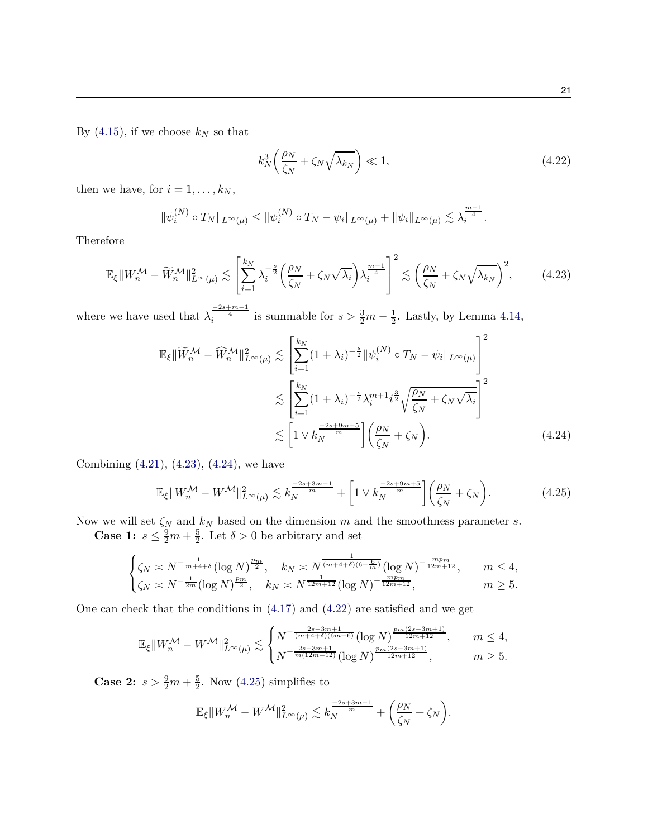By  $(4.15)$ , if we choose  $k_N$  so that

<span id="page-20-2"></span><span id="page-20-0"></span>
$$
k_N^3 \left(\frac{\rho_N}{\zeta_N} + \zeta_N \sqrt{\lambda_{k_N}}\right) \ll 1,\tag{4.22}
$$

then we have, for  $i = 1, \ldots, k_N$ ,

$$
\|\psi_i^{(N)} \circ T_N\|_{L^{\infty}(\mu)} \le \|\psi_i^{(N)} \circ T_N - \psi_i\|_{L^{\infty}(\mu)} + \|\psi_i\|_{L^{\infty}(\mu)} \lesssim \lambda_i^{\frac{m-1}{4}}.
$$

Therefore

$$
\mathbb{E}_{\xi} \| W_n^{\mathcal{M}} - \widetilde{W}_n^{\mathcal{M}} \|_{L^{\infty}(\mu)}^2 \lesssim \left[ \sum_{i=1}^{k_N} \lambda_i^{-\frac{s}{2}} \left( \frac{\rho_N}{\zeta_N} + \zeta_N \sqrt{\lambda_i} \right) \lambda_i^{\frac{m-1}{4}} \right]^2 \lesssim \left( \frac{\rho_N}{\zeta_N} + \zeta_N \sqrt{\lambda_{k_N}} \right)^2, \tag{4.23}
$$

where we have used that  $\lambda_i^{\frac{-2s+m-1}{4}}$  is summable for  $s > \frac{3}{2}m - \frac{1}{2}$  $\frac{1}{2}$ . Lastly, by Lemma [4.14,](#page-17-1)

$$
\mathbb{E}_{\xi} \|\widetilde{W}_{n}^{\mathcal{M}} - \widehat{W}_{n}^{\mathcal{M}}\|_{L^{\infty}(\mu)}^{2} \lesssim \left[\sum_{i=1}^{k_{N}} (1 + \lambda_{i})^{-\frac{s}{2}} \|\psi_{i}^{(N)} \circ T_{N} - \psi_{i}\|_{L^{\infty}(\mu)}\right]^{2}
$$

$$
\lesssim \left[\sum_{i=1}^{k_{N}} (1 + \lambda_{i})^{-\frac{s}{2}} \lambda_{i}^{m+1} i^{\frac{3}{2}} \sqrt{\frac{\rho_{N}}{\zeta_{N}} + \zeta_{N} \sqrt{\lambda_{i}}}\right]^{2}
$$

$$
\lesssim \left[1 \vee k_{N}^{\frac{-2s+9m+5}{m}}\right] \left(\frac{\rho_{N}}{\zeta_{N}} + \zeta_{N}\right). \tag{4.24}
$$

Combining [\(4.21\)](#page-19-0), [\(4.23\)](#page-20-0), [\(4.24\)](#page-20-1), we have

<span id="page-20-3"></span><span id="page-20-1"></span>
$$
\mathbb{E}_{\xi} \|W_n^{\mathcal{M}} - W^{\mathcal{M}}\|_{L^{\infty}(\mu)}^2 \lesssim k_N^{\frac{-2s+3m-1}{m}} + \left[1 \vee k_N^{\frac{-2s+9m+5}{m}}\right] \left(\frac{\rho_N}{\zeta_N} + \zeta_N\right). \tag{4.25}
$$

Now we will set *ζ<sup>N</sup>* and *k<sup>N</sup>* based on the dimension *m* and the smoothness parameter *s*.

**Case 1:**  $s \leq \frac{9}{2}m + \frac{5}{2}$  $\frac{5}{2}$ . Let  $\delta > 0$  be arbitrary and set

$$
\begin{cases} \zeta_N \asymp N^{-\frac{1}{m+4+\delta}} (\log N)^{\frac{p_m}{2}}, & k_N \asymp N^{\frac{1}{(m+4+\delta)(6+\frac{6}{m})}} (\log N)^{-\frac{mp_m}{12m+12}}, & m \le 4, \\ \zeta_N \asymp N^{-\frac{1}{2m}} (\log N)^{\frac{p_m}{2}}, & k_N \asymp N^{\frac{1}{12m+12}} (\log N)^{-\frac{mp_m}{12m+12}}, & m \ge 5. \end{cases}
$$

One can check that the conditions in [\(4.17\)](#page-17-2) and [\(4.22\)](#page-20-2) are satisfied and we get

$$
\mathbb{E}_\xi\|W_n^\mathcal{M} - W^\mathcal{M}\|_{L^\infty(\mu)}^2 \lesssim \begin{cases} N^{-\frac{2s-3m+1}{(m+4+\delta)(6m+6)}} (\log N)^{\frac{pm(2s-3m+1)}{12m+12}}, & m \leq 4, \\ N^{-\frac{2s-3m+1}{m(12m+12)}} (\log N)^{\frac{pm(2s-3m+1)}{12m+12}}, & m \geq 5. \end{cases}
$$

**Case 2:**  $s > \frac{9}{2}m + \frac{5}{2}$  $\frac{5}{2}$ . Now [\(4.25\)](#page-20-3) simplifies to

$$
\mathbb{E}_{\xi} \|W_n^{\mathcal{M}} - W^{\mathcal{M}}\|_{L^{\infty}(\mu)}^2 \lesssim k_N^{\frac{-2s+3m-1}{m}} + \left(\frac{\rho_N}{\zeta_N} + \zeta_N\right).
$$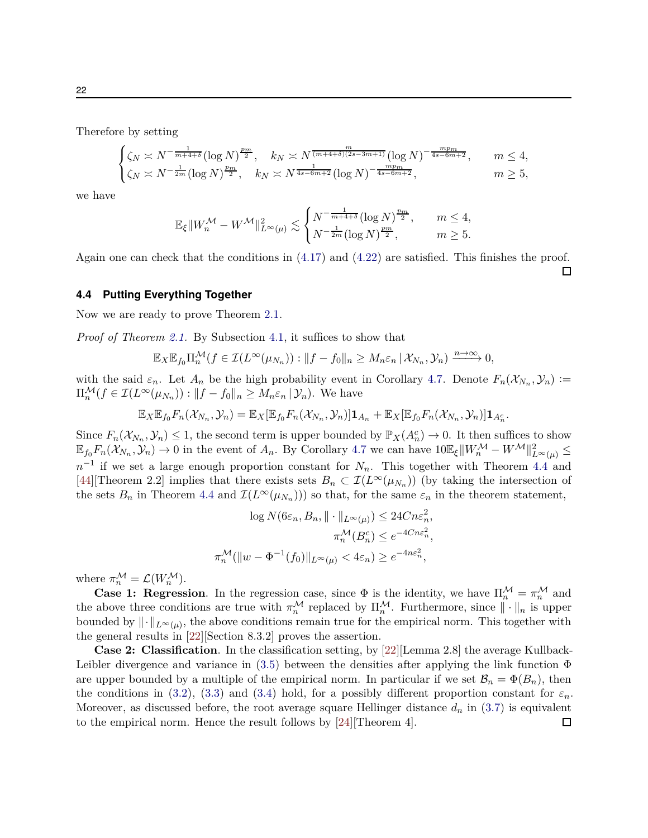Therefore by setting

$$
\begin{cases} \zeta_N \asymp N^{-\frac{1}{m+4+\delta}} (\log N)^{\frac{p_m}{2}}, & k_N \asymp N^{\frac{m}{(m+4+\delta)(2s-3m+1)}} (\log N)^{-\frac{mp_m}{4s-6m+2}}, & m \le 4, \\ \zeta_N \asymp N^{-\frac{1}{2m}} (\log N)^{\frac{p_m}{2}}, & k_N \asymp N^{\frac{1}{4s-6m+2}} (\log N)^{-\frac{mp_m}{4s-6m+2}}, & m \ge 5, \end{cases}
$$

we have

$$
\mathbb{E}_\xi\|W_n^\mathcal{M} - W^\mathcal{M}\|_{L^\infty(\mu)}^2 \lesssim \begin{cases} N^{-\frac{1}{m+4+\delta}}(\log N)^{\frac{p_m}{2}}, & m \leq 4,\\ N^{-\frac{1}{2m}}(\log N)^{\frac{p_m}{2}}, & m \geq 5. \end{cases}
$$

Again one can check that the conditions in [\(4.17\)](#page-17-2) and [\(4.22\)](#page-20-2) are satisfied. This finishes the proof.

 $\Box$ 

### <span id="page-21-0"></span>**4.4 Putting Everything Together**

Now we are ready to prove Theorem [2.1.](#page-6-0)

*Proof of Theorem [2.1.](#page-6-0)* By Subsection [4.1,](#page-9-1) it suffices to show that

$$
\mathbb{E}_X \mathbb{E}_{f_0} \Pi_n^{\mathcal{M}}(f \in \mathcal{I}(L^{\infty}(\mu_{N_n})) : ||f - f_0||_n \geq M_n \varepsilon_n \, | \, \mathcal{X}_{N_n}, \mathcal{Y}_n) \xrightarrow{n \to \infty} 0,
$$

with the said  $\varepsilon_n$ . Let  $A_n$  be the high probability event in Corollary [4.7.](#page-15-1) Denote  $F_n(\mathcal{X}_{N_n}, \mathcal{Y}_n) :=$  $\Pi_n^{\mathcal{M}}(f \in \mathcal{I}(L^{\infty}(\mu_{N_n})) : ||f - f_0||_n \geq M_n \varepsilon_n \, | \, \mathcal{Y}_n)$ . We have

$$
\mathbb{E}_X \mathbb{E}_{f_0} F_n(\mathcal{X}_{N_n}, \mathcal{Y}_n) = \mathbb{E}_X [\mathbb{E}_{f_0} F_n(\mathcal{X}_{N_n}, \mathcal{Y}_n)] \mathbf{1}_{A_n} + \mathbb{E}_X [\mathbb{E}_{f_0} F_n(\mathcal{X}_{N_n}, \mathcal{Y}_n)] \mathbf{1}_{A_n^c}.
$$

Since  $F_n(\mathcal{X}_{N_n}, \mathcal{Y}_n) \leq 1$ , the second term is upper bounded by  $\mathbb{P}_X(A_n^c) \to 0$ . It then suffices to show  $\mathbb{E}_{f_0} F_n(\mathcal{X}_{N_n}, \mathcal{Y}_n) \to 0$  in the event of  $A_n$ . By Corollary [4.7](#page-15-1) we can have  $10\mathbb{E}_{\xi} ||W_n^{\mathcal{M}} - W^{\mathcal{M}}||_{L^{\infty}(\mu)}^2 \leq$  $n^{-1}$  if we set a large enough proportion constant for  $N_n$ . This together with Theorem [4.4](#page-12-2) and [\[44\]](#page-25-12)[Theorem 2.2] implies that there exists sets  $B_n \subset \mathcal{I}(L^{\infty}(\mu_{N_n}))$  (by taking the intersection of the sets  $B_n$  in Theorem [4.4](#page-12-2) and  $\mathcal{I}(L^{\infty}(\mu_{N_n})))$  so that, for the same  $\varepsilon_n$  in the theorem statement,

$$
\log N(6\varepsilon_n, B_n, \|\cdot\|_{L^{\infty}(\mu)}) \leq 24Cn\varepsilon_n^2,
$$
  

$$
\pi_n^{\mathcal{M}}(B_n^c) \leq e^{-4Cn\varepsilon_n^2},
$$
  

$$
\pi_n^{\mathcal{M}}(\|w - \Phi^{-1}(f_0)\|_{L^{\infty}(\mu)} < 4\varepsilon_n) \geq e^{-4n\varepsilon_n^2},
$$

where  $\pi_n^{\mathcal{M}} = \mathcal{L}(W_n^{\mathcal{M}})$ .

**Case 1: Regression**. In the regression case, since  $\Phi$  is the identity, we have  $\Pi_n^{\mathcal{M}} = \pi_n^{\mathcal{M}}$  and the above three conditions are true with  $\pi_n^{\mathcal{M}}$  replaced by  $\Pi_n^{\mathcal{M}}$ . Furthermore, since  $\|\cdot\|_n$  is upper bounded by  $\|\cdot\|_{L^{\infty}(\mu)}$ , the above conditions remain true for the empirical norm. This together with the general results in [\[22\]](#page-24-6)[Section 8.3.2] proves the assertion.

**Case 2: Classification**. In the classification setting, by [\[22](#page-24-6)][Lemma 2.8] the average Kullback-Leibler divergence and variance in [\(3.5\)](#page-7-5) between the densities after applying the link function  $\Phi$ are upper bounded by a multiple of the empirical norm. In particular if we set  $\mathcal{B}_n = \Phi(B_n)$ , then the conditions in [\(3.2\)](#page-7-3), [\(3.3\)](#page-7-2) and [\(3.4\)](#page-7-4) hold, for a possibly different proportion constant for  $\varepsilon_n$ . Moreover, as discussed before, the root average square Hellinger distance  $d_n$  in [\(3.7\)](#page-8-1) is equivalent to the empirical norm. Hence the result follows by [\[24\]](#page-24-9)[Theorem 4]. $\Box$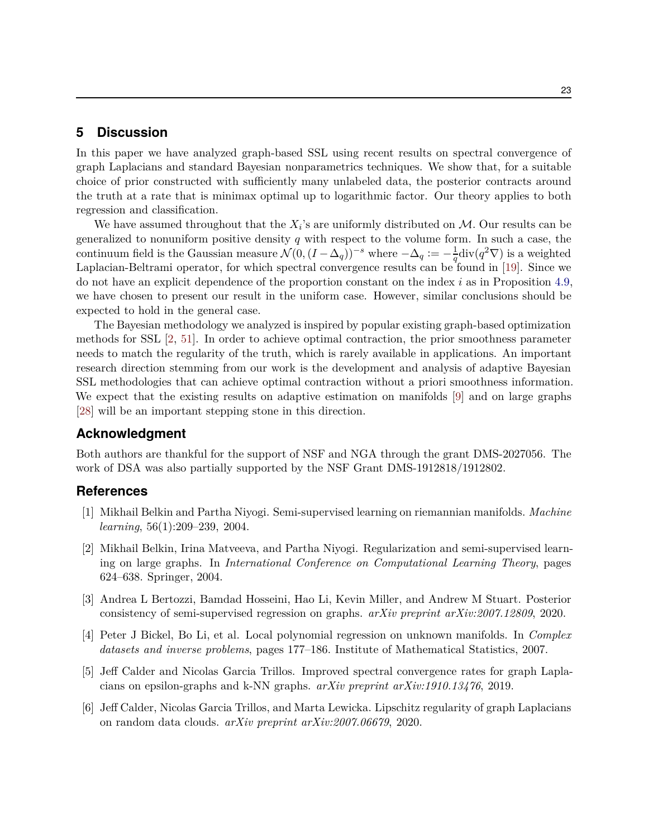# <span id="page-22-5"></span>**5 Discussion**

In this paper we have analyzed graph-based SSL using recent results on spectral convergence of graph Laplacians and standard Bayesian nonparametrics techniques. We show that, for a suitable choice of prior constructed with sufficiently many unlabeled data, the posterior contracts around the truth at a rate that is minimax optimal up to logarithmic factor. Our theory applies to both regression and classification.

We have assumed throughout that the  $X_i$ 's are uniformly distributed on  $M$ . Our results can be generalized to nonuniform positive density *q* with respect to the volume form. In such a case, the continuum field is the Gaussian measure  $\mathcal{N}(0, (I - \Delta_q))^{-s}$  where  $-\Delta_q := -\frac{1}{q}$  $\frac{1}{q}$ div $(q^2 \nabla)$  is a weighted Laplacian-Beltrami operator, for which spectral convergence results can be found in [\[19](#page-23-12)]. Since we do not have an explicit dependence of the proportion constant on the index *i* as in Proposition [4.9,](#page-16-0) we have chosen to present our result in the uniform case. However, similar conclusions should be expected to hold in the general case.

The Bayesian methodology we analyzed is inspired by popular existing graph-based optimization methods for SSL [\[2](#page-22-1), [51\]](#page-26-0). In order to achieve optimal contraction, the prior smoothness parameter needs to match the regularity of the truth, which is rarely available in applications. An important research direction stemming from our work is the development and analysis of adaptive Bayesian SSL methodologies that can achieve optimal contraction without a priori smoothness information. We expect that the existing results on adaptive estimation on manifolds [\[9\]](#page-23-3) and on large graphs [\[28\]](#page-24-5) will be an important stepping stone in this direction.

# **Acknowledgment**

Both authors are thankful for the support of NSF and NGA through the grant DMS-2027056. The work of DSA was also partially supported by the NSF Grant DMS-1912818/1912802.

#### **References**

- <span id="page-22-2"></span>[1] Mikhail Belkin and Partha Niyogi. Semi-supervised learning on riemannian manifolds. *Machine learning*, 56(1):209–239, 2004.
- <span id="page-22-1"></span>[2] Mikhail Belkin, Irina Matveeva, and Partha Niyogi. Regularization and semi-supervised learning on large graphs. In *International Conference on Computational Learning Theory*, pages 624–638. Springer, 2004.
- <span id="page-22-3"></span>[3] Andrea L Bertozzi, Bamdad Hosseini, Hao Li, Kevin Miller, and Andrew M Stuart. Posterior consistency of semi-supervised regression on graphs. *arXiv preprint arXiv:2007.12809*, 2020.
- <span id="page-22-0"></span>[4] Peter J Bickel, Bo Li, et al. Local polynomial regression on unknown manifolds. In *Complex datasets and inverse problems*, pages 177–186. Institute of Mathematical Statistics, 2007.
- <span id="page-22-6"></span>[5] Jeff Calder and Nicolas Garcia Trillos. Improved spectral convergence rates for graph Laplacians on epsilon-graphs and k-NN graphs. *arXiv preprint arXiv:1910.13476*, 2019.
- <span id="page-22-4"></span>[6] Jeff Calder, Nicolas Garcia Trillos, and Marta Lewicka. Lipschitz regularity of graph Laplacians on random data clouds. *arXiv preprint arXiv:2007.06679*, 2020.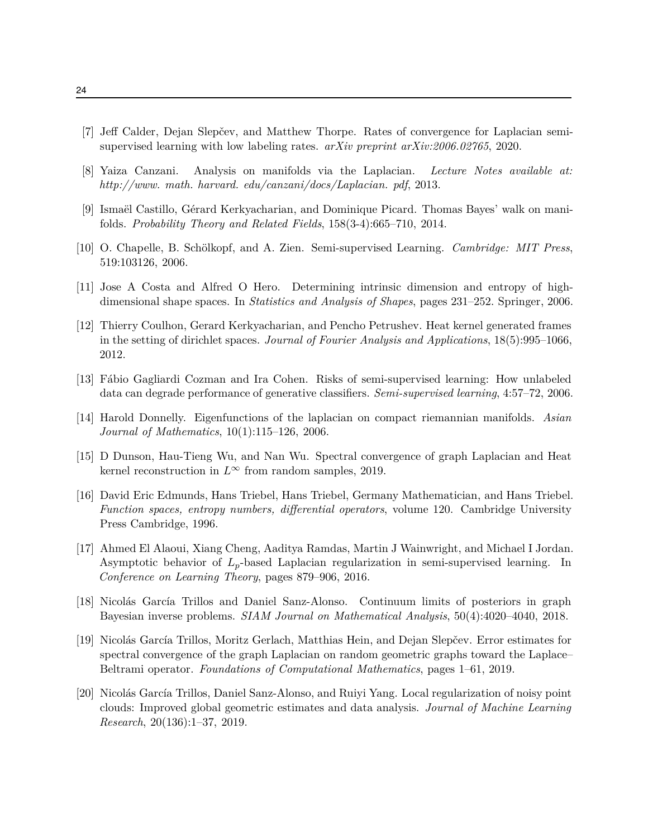- <span id="page-23-5"></span>[7] Jeff Calder, Dejan Slepčev, and Matthew Thorpe. Rates of convergence for Laplacian semisupervised learning with low labeling rates. *arXiv preprint arXiv:2006.02765*, 2020.
- <span id="page-23-9"></span>[8] Yaiza Canzani. Analysis on manifolds via the Laplacian. *Lecture Notes available at: http://www. math. harvard. edu/canzani/docs/Laplacian. pdf*, 2013.
- <span id="page-23-3"></span>[9] Ismaël Castillo, Gérard Kerkyacharian, and Dominique Picard. Thomas Bayes' walk on manifolds. *Probability Theory and Related Fields*, 158(3-4):665–710, 2014.
- <span id="page-23-4"></span>[10] O. Chapelle, B. Schölkopf, and A. Zien. Semi-supervised Learning. *Cambridge: MIT Press*, 519:103126, 2006.
- <span id="page-23-1"></span>[11] Jose A Costa and Alfred O Hero. Determining intrinsic dimension and entropy of highdimensional shape spaces. In *Statistics and Analysis of Shapes*, pages 231–252. Springer, 2006.
- <span id="page-23-10"></span>[12] Thierry Coulhon, Gerard Kerkyacharian, and Pencho Petrushev. Heat kernel generated frames in the setting of dirichlet spaces. *Journal of Fourier Analysis and Applications*, 18(5):995–1066, 2012.
- <span id="page-23-2"></span>[13] Fábio Gagliardi Cozman and Ira Cohen. Risks of semi-supervised learning: How unlabeled data can degrade performance of generative classifiers. *Semi-supervised learning*, 4:57–72, 2006.
- <span id="page-23-13"></span>[14] Harold Donnelly. Eigenfunctions of the laplacian on compact riemannian manifolds. *Asian Journal of Mathematics*, 10(1):115–126, 2006.
- <span id="page-23-7"></span>[15] D Dunson, Hau-Tieng Wu, and Nan Wu. Spectral convergence of graph Laplacian and Heat kernel reconstruction in  $L^\infty$  from random samples, 2019.
- <span id="page-23-11"></span>[16] David Eric Edmunds, Hans Triebel, Hans Triebel, Germany Mathematician, and Hans Triebel. *Function spaces, entropy numbers, differential operators*, volume 120. Cambridge University Press Cambridge, 1996.
- <span id="page-23-8"></span>[17] Ahmed El Alaoui, Xiang Cheng, Aaditya Ramdas, Martin J Wainwright, and Michael I Jordan. Asymptotic behavior of *Lp*-based Laplacian regularization in semi-supervised learning. In *Conference on Learning Theory*, pages 879–906, 2016.
- <span id="page-23-6"></span>[18] Nicolás García Trillos and Daniel Sanz-Alonso. Continuum limits of posteriors in graph Bayesian inverse problems. *SIAM Journal on Mathematical Analysis*, 50(4):4020–4040, 2018.
- <span id="page-23-12"></span>[19] Nicolás García Trillos, Moritz Gerlach, Matthias Hein, and Dejan Slepčev. Error estimates for spectral convergence of the graph Laplacian on random geometric graphs toward the Laplace– Beltrami operator. *Foundations of Computational Mathematics*, pages 1–61, 2019.
- <span id="page-23-0"></span>[20] Nicolás García Trillos, Daniel Sanz-Alonso, and Ruiyi Yang. Local regularization of noisy point clouds: Improved global geometric estimates and data analysis. *Journal of Machine Learning Research*, 20(136):1–37, 2019.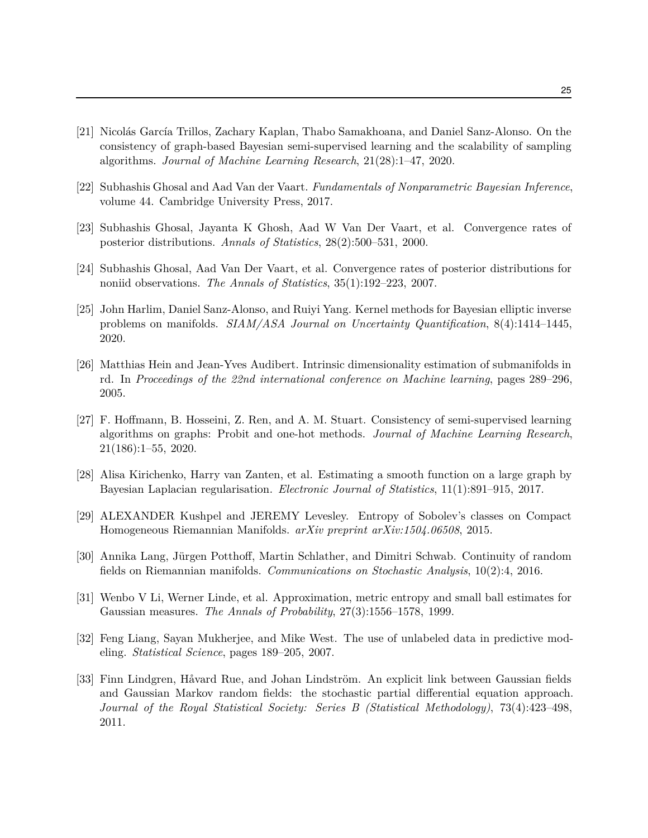- <span id="page-24-0"></span>[21] Nicolás García Trillos, Zachary Kaplan, Thabo Samakhoana, and Daniel Sanz-Alonso. On the consistency of graph-based Bayesian semi-supervised learning and the scalability of sampling algorithms. *Journal of Machine Learning Research*, 21(28):1–47, 2020.
- <span id="page-24-6"></span>[22] Subhashis Ghosal and Aad Van der Vaart. *Fundamentals of Nonparametric Bayesian Inference*, volume 44. Cambridge University Press, 2017.
- <span id="page-24-2"></span>[23] Subhashis Ghosal, Jayanta K Ghosh, Aad W Van Der Vaart, et al. Convergence rates of posterior distributions. *Annals of Statistics*, 28(2):500–531, 2000.
- <span id="page-24-9"></span>[24] Subhashis Ghosal, Aad Van Der Vaart, et al. Convergence rates of posterior distributions for noniid observations. *The Annals of Statistics*, 35(1):192–223, 2007.
- <span id="page-24-7"></span>[25] John Harlim, Daniel Sanz-Alonso, and Ruiyi Yang. Kernel methods for Bayesian elliptic inverse problems on manifolds. *SIAM/ASA Journal on Uncertainty Quantification*, 8(4):1414–1445, 2020.
- <span id="page-24-1"></span>[26] Matthias Hein and Jean-Yves Audibert. Intrinsic dimensionality estimation of submanifolds in rd. In *Proceedings of the 22nd international conference on Machine learning*, pages 289–296, 2005.
- <span id="page-24-4"></span>[27] F. Hoffmann, B. Hosseini, Z. Ren, and A. M. Stuart. Consistency of semi-supervised learning algorithms on graphs: Probit and one-hot methods. *Journal of Machine Learning Research*, 21(186):1–55, 2020.
- <span id="page-24-5"></span>[28] Alisa Kirichenko, Harry van Zanten, et al. Estimating a smooth function on a large graph by Bayesian Laplacian regularisation. *Electronic Journal of Statistics*, 11(1):891–915, 2017.
- <span id="page-24-12"></span>[29] ALEXANDER Kushpel and JEREMY Levesley. Entropy of Sobolev's classes on Compact Homogeneous Riemannian Manifolds. *arXiv preprint arXiv:1504.06508*, 2015.
- <span id="page-24-10"></span>[30] Annika Lang, Jürgen Potthoff, Martin Schlather, and Dimitri Schwab. Continuity of random fields on Riemannian manifolds. *Communications on Stochastic Analysis*, 10(2):4, 2016.
- <span id="page-24-11"></span>[31] Wenbo V Li, Werner Linde, et al. Approximation, metric entropy and small ball estimates for Gaussian measures. *The Annals of Probability*, 27(3):1556–1578, 1999.
- <span id="page-24-3"></span>[32] Feng Liang, Sayan Mukherjee, and Mike West. The use of unlabeled data in predictive modeling. *Statistical Science*, pages 189–205, 2007.
- <span id="page-24-8"></span>[33] Finn Lindgren, Håvard Rue, and Johan Lindström. An explicit link between Gaussian fields and Gaussian Markov random fields: the stochastic partial differential equation approach. *Journal of the Royal Statistical Society: Series B (Statistical Methodology)*, 73(4):423–498, 2011.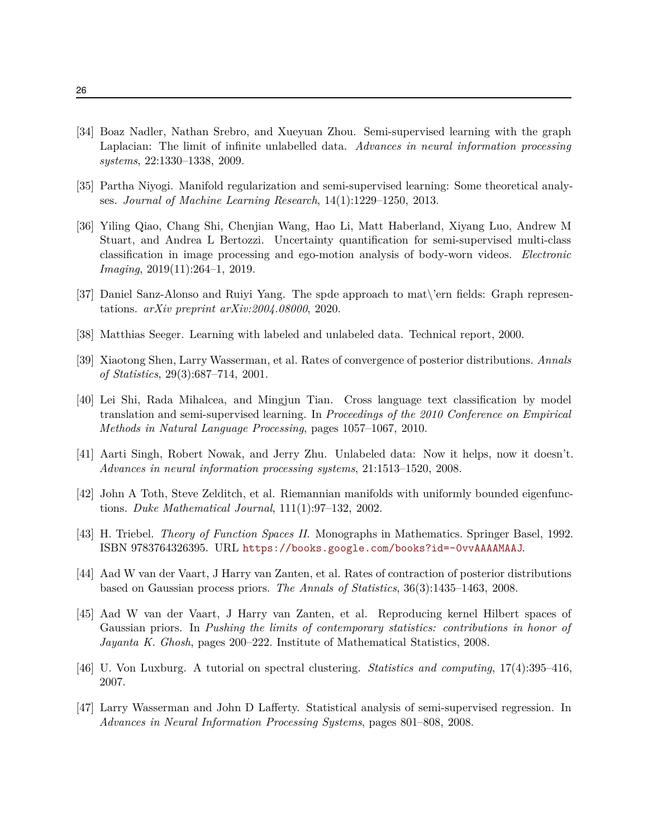- <span id="page-25-9"></span>[34] Boaz Nadler, Nathan Srebro, and Xueyuan Zhou. Semi-supervised learning with the graph Laplacian: The limit of infinite unlabelled data. *Advances in neural information processing systems*, 22:1330–1338, 2009.
- <span id="page-25-2"></span>[35] Partha Niyogi. Manifold regularization and semi-supervised learning: Some theoretical analyses. *Journal of Machine Learning Research*, 14(1):1229–1250, 2013.
- <span id="page-25-0"></span>[36] Yiling Qiao, Chang Shi, Chenjian Wang, Hao Li, Matt Haberland, Xiyang Luo, Andrew M Stuart, and Andrea L Bertozzi. Uncertainty quantification for semi-supervised multi-class classification in image processing and ego-motion analysis of body-worn videos. *Electronic Imaging*, 2019(11):264–1, 2019.
- <span id="page-25-8"></span>[37] Daniel Sanz-Alonso and Ruiyi Yang. The spde approach to mat\'ern fields: Graph representations. *arXiv preprint arXiv:2004.08000*, 2020.
- <span id="page-25-6"></span>[38] Matthias Seeger. Learning with labeled and unlabeled data. Technical report, 2000.
- <span id="page-25-3"></span>[39] Xiaotong Shen, Larry Wasserman, et al. Rates of convergence of posterior distributions. *Annals of Statistics*, 29(3):687–714, 2001.
- <span id="page-25-1"></span>[40] Lei Shi, Rada Mihalcea, and Mingjun Tian. Cross language text classification by model translation and semi-supervised learning. In *Proceedings of the 2010 Conference on Empirical Methods in Natural Language Processing*, pages 1057–1067, 2010.
- <span id="page-25-5"></span>[41] Aarti Singh, Robert Nowak, and Jerry Zhu. Unlabeled data: Now it helps, now it doesn't. *Advances in neural information processing systems*, 21:1513–1520, 2008.
- <span id="page-25-11"></span>[42] John A Toth, Steve Zelditch, et al. Riemannian manifolds with uniformly bounded eigenfunctions. *Duke Mathematical Journal*, 111(1):97–132, 2002.
- <span id="page-25-10"></span>[43] H. Triebel. *Theory of Function Spaces II*. Monographs in Mathematics. Springer Basel, 1992. ISBN 9783764326395. URL <https://books.google.com/books?id=-0vvAAAAMAAJ>.
- <span id="page-25-12"></span>[44] Aad W van der Vaart, J Harry van Zanten, et al. Rates of contraction of posterior distributions based on Gaussian process priors. *The Annals of Statistics*, 36(3):1435–1463, 2008.
- <span id="page-25-13"></span>[45] Aad W van der Vaart, J Harry van Zanten, et al. Reproducing kernel Hilbert spaces of Gaussian priors. In *Pushing the limits of contemporary statistics: contributions in honor of Jayanta K. Ghosh*, pages 200–222. Institute of Mathematical Statistics, 2008.
- <span id="page-25-7"></span>[46] U. Von Luxburg. A tutorial on spectral clustering. *Statistics and computing*, 17(4):395–416, 2007.
- <span id="page-25-4"></span>[47] Larry Wasserman and John D Lafferty. Statistical analysis of semi-supervised regression. In *Advances in Neural Information Processing Systems*, pages 801–808, 2008.